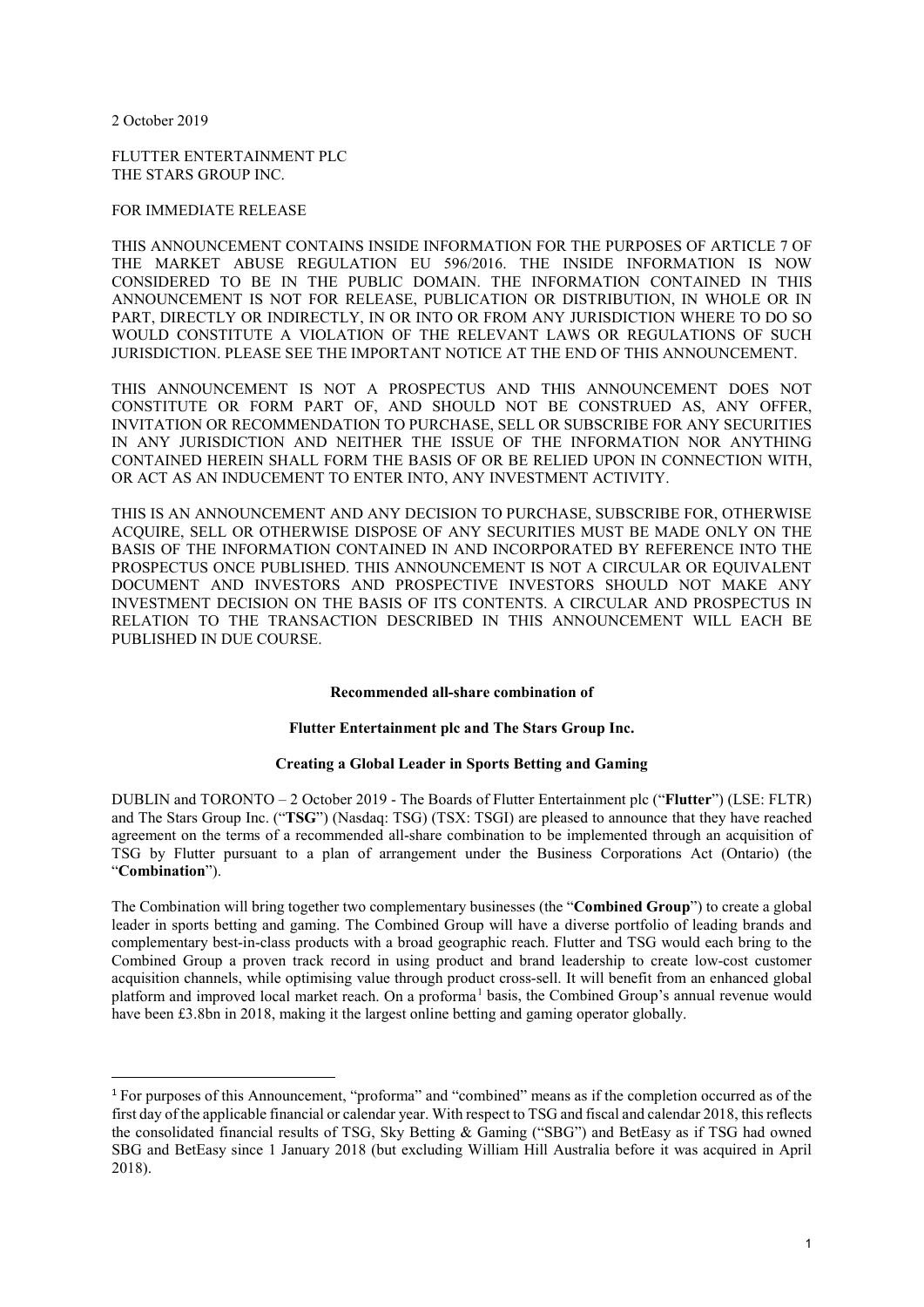2 October 2019

FLUTTER ENTERTAINMENT PLC THE STARS GROUP INC.

#### FOR IMMEDIATE RELEASE

THIS ANNOUNCEMENT CONTAINS INSIDE INFORMATION FOR THE PURPOSES OF ARTICLE 7 OF THE MARKET ABUSE REGULATION EU 596/2016. THE INSIDE INFORMATION IS NOW CONSIDERED TO BE IN THE PUBLIC DOMAIN. THE INFORMATION CONTAINED IN THIS ANNOUNCEMENT IS NOT FOR RELEASE, PUBLICATION OR DISTRIBUTION, IN WHOLE OR IN PART, DIRECTLY OR INDIRECTLY, IN OR INTO OR FROM ANY JURISDICTION WHERE TO DO SO WOULD CONSTITUTE A VIOLATION OF THE RELEVANT LAWS OR REGULATIONS OF SUCH JURISDICTION. PLEASE SEE THE IMPORTANT NOTICE AT THE END OF THIS ANNOUNCEMENT.

THIS ANNOUNCEMENT IS NOT A PROSPECTUS AND THIS ANNOUNCEMENT DOES NOT CONSTITUTE OR FORM PART OF, AND SHOULD NOT BE CONSTRUED AS, ANY OFFER, INVITATION OR RECOMMENDATION TO PURCHASE, SELL OR SUBSCRIBE FOR ANY SECURITIES IN ANY JURISDICTION AND NEITHER THE ISSUE OF THE INFORMATION NOR ANYTHING CONTAINED HEREIN SHALL FORM THE BASIS OF OR BE RELIED UPON IN CONNECTION WITH, OR ACT AS AN INDUCEMENT TO ENTER INTO, ANY INVESTMENT ACTIVITY.

THIS IS AN ANNOUNCEMENT AND ANY DECISION TO PURCHASE, SUBSCRIBE FOR, OTHERWISE ACQUIRE, SELL OR OTHERWISE DISPOSE OF ANY SECURITIES MUST BE MADE ONLY ON THE BASIS OF THE INFORMATION CONTAINED IN AND INCORPORATED BY REFERENCE INTO THE PROSPECTUS ONCE PUBLISHED. THIS ANNOUNCEMENT IS NOT A CIRCULAR OR EQUIVALENT DOCUMENT AND INVESTORS AND PROSPECTIVE INVESTORS SHOULD NOT MAKE ANY INVESTMENT DECISION ON THE BASIS OF ITS CONTENTS. A CIRCULAR AND PROSPECTUS IN RELATION TO THE TRANSACTION DESCRIBED IN THIS ANNOUNCEMENT WILL EACH BE PUBLISHED IN DUE COURSE.

#### **Recommended all-share combination of**

#### **Flutter Entertainment plc and The Stars Group Inc.**

### **Creating a Global Leader in Sports Betting and Gaming**

DUBLIN and TORONTO – 2 October 2019 - The Boards of Flutter Entertainment plc ("**Flutter**") (LSE: FLTR) and The Stars Group Inc. ("**TSG**") (Nasdaq: TSG) (TSX: TSGI) are pleased to announce that they have reached agreement on the terms of a recommended all-share combination to be implemented through an acquisition of TSG by Flutter pursuant to a plan of arrangement under the Business Corporations Act (Ontario) (the "**Combination**").

The Combination will bring together two complementary businesses (the "**Combined Group**") to create a global leader in sports betting and gaming. The Combined Group will have a diverse portfolio of leading brands and complementary best-in-class products with a broad geographic reach. Flutter and TSG would each bring to the Combined Group a proven track record in using product and brand leadership to create low-cost customer acquisition channels, while optimising value through product cross-sell. It will benefit from an enhanced global platform and improved local market reach. On a proforma<sup>[1](#page-0-0)</sup> basis, the Combined Group's annual revenue would have been £3.8bn in 2018, making it the largest online betting and gaming operator globally.

<span id="page-0-0"></span> <sup>1</sup> For purposes of this Announcement, "proforma" and "combined" means as if the completion occurred as of the first day of the applicable financial or calendar year. With respect to TSG and fiscal and calendar 2018, this reflects the consolidated financial results of TSG, Sky Betting & Gaming ("SBG") and BetEasy as if TSG had owned SBG and BetEasy since 1 January 2018 (but excluding William Hill Australia before it was acquired in April 2018).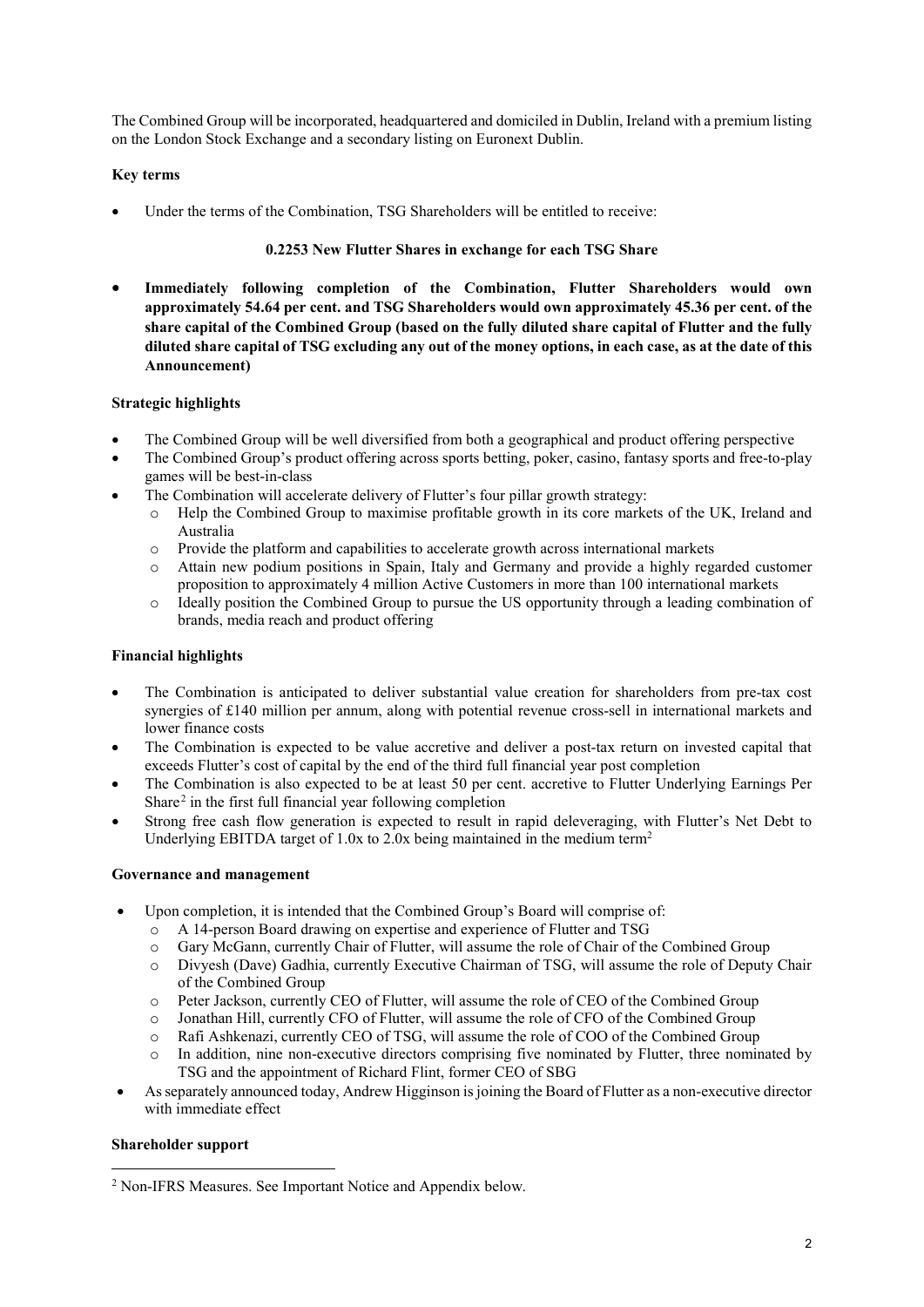The Combined Group will be incorporated, headquartered and domiciled in Dublin, Ireland with a premium listing on the London Stock Exchange and a secondary listing on Euronext Dublin.

# **Key terms**

Under the terms of the Combination, TSG Shareholders will be entitled to receive:

## **0.2253 New Flutter Shares in exchange for each TSG Share**

• **Immediately following completion of the Combination, Flutter Shareholders would own approximately 54.64 per cent. and TSG Shareholders would own approximately 45.36 per cent. of the share capital of the Combined Group (based on the fully diluted share capital of Flutter and the fully diluted share capital of TSG excluding any out of the money options, in each case, as at the date of this Announcement)**

## **Strategic highlights**

- The Combined Group will be well diversified from both a geographical and product offering perspective
- The Combined Group's product offering across sports betting, poker, casino, fantasy sports and free-to-play games will be best-in-class
- The Combination will accelerate delivery of Flutter's four pillar growth strategy:
	- o Help the Combined Group to maximise profitable growth in its core markets of the UK, Ireland and Australia
	- o Provide the platform and capabilities to accelerate growth across international markets<br>Attain new podium positions in Spain Italy and Germany and provide a highly regi
	- o Attain new podium positions in Spain, Italy and Germany and provide a highly regarded customer proposition to approximately 4 million Active Customers in more than 100 international markets
	- o Ideally position the Combined Group to pursue the US opportunity through a leading combination of brands, media reach and product offering

## **Financial highlights**

- The Combination is anticipated to deliver substantial value creation for shareholders from pre-tax cost synergies of £140 million per annum, along with potential revenue cross-sell in international markets and lower finance costs
- The Combination is expected to be value accretive and deliver a post-tax return on invested capital that exceeds Flutter's cost of capital by the end of the third full financial year post completion
- The Combination is also expected to be at least 50 per cent. accretive to Flutter Underlying Earnings Per Share[2](#page-1-0) in the first full financial year following completion
- Strong free cash flow generation is expected to result in rapid deleveraging, with Flutter's Net Debt to Underlying EBITDA target of 1.0x to 2.0x being maintained in the medium term<sup>2</sup>

### **Governance and management**

- Upon completion, it is intended that the Combined Group's Board will comprise of:
	- o A 14-person Board drawing on expertise and experience of Flutter and TSG<br>
	o Gary McGann, currently Chair of Flutter, will assume the role of Chair of the
	-
	- o Gary McGann, currently Chair of Flutter, will assume the role of Chair of the Combined Group<br>
	o Divyesh (Dave) Gadhia, currently Executive Chairman of TSG, will assume the role of Denutv Divyesh (Dave) Gadhia, currently Executive Chairman of TSG, will assume the role of Deputy Chair of the Combined Group
	- o Peter Jackson, currently CEO of Flutter, will assume the role of CEO of the Combined Group
	- o Jonathan Hill, currently CFO of Flutter, will assume the role of CFO of the Combined Group
	- o Rafi Ashkenazi, currently CEO of TSG, will assume the role of COO of the Combined Group
	- In addition, nine non-executive directors comprising five nominated by Flutter, three nominated by TSG and the appointment of Richard Flint, former CEO of SBG
- As separately announced today, Andrew Higginson is joining the Board of Flutter as a non-executive director with immediate effect

# **Shareholder support**

 $\overline{\phantom{a}}$ 

<span id="page-1-0"></span><sup>2</sup> Non-IFRS Measures. See Important Notice and Appendix below.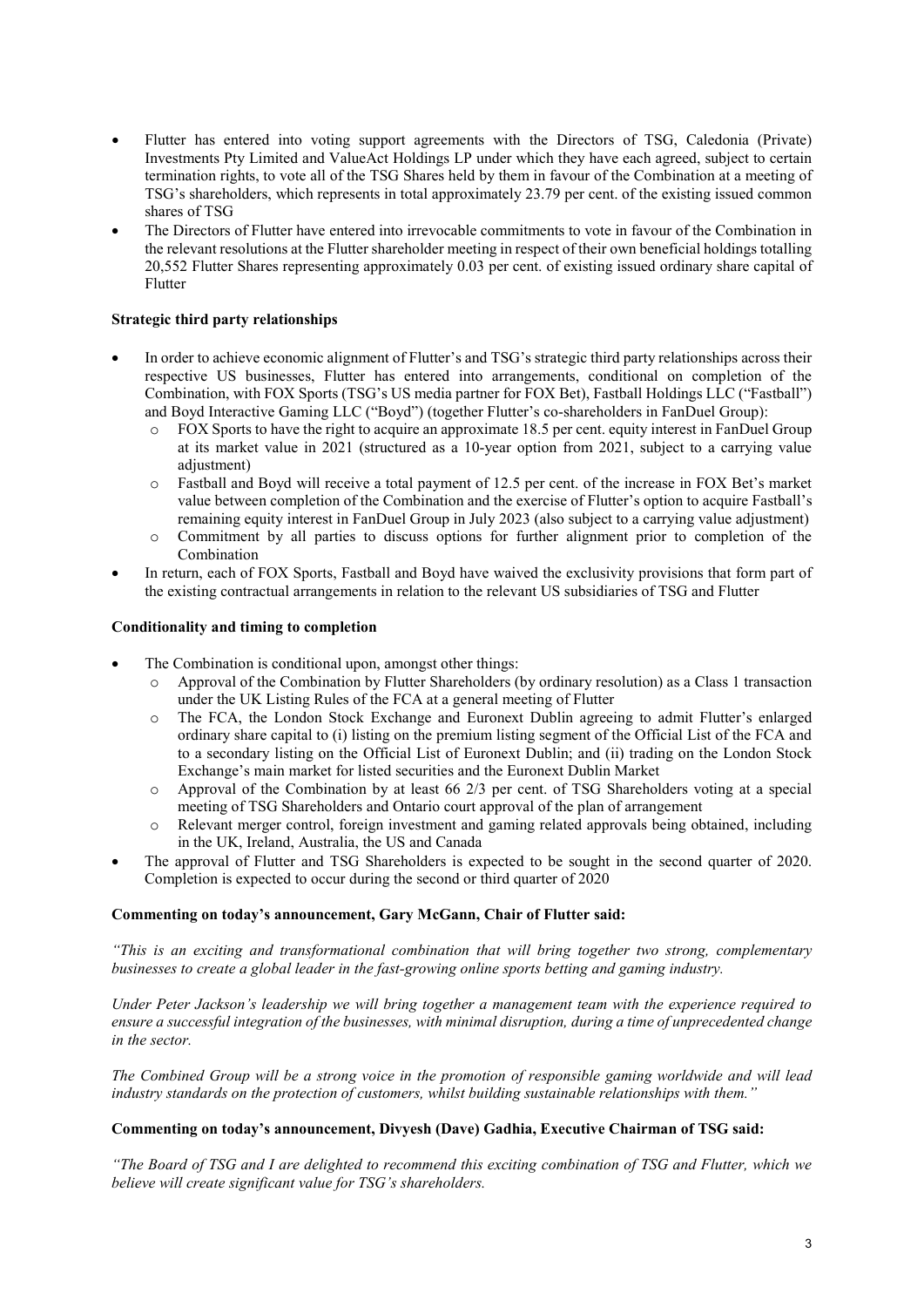- Flutter has entered into voting support agreements with the Directors of TSG, Caledonia (Private) Investments Pty Limited and ValueAct Holdings LP under which they have each agreed, subject to certain termination rights, to vote all of the TSG Shares held by them in favour of the Combination at a meeting of TSG's shareholders, which represents in total approximately 23.79 per cent. of the existing issued common shares of TSG
- The Directors of Flutter have entered into irrevocable commitments to vote in favour of the Combination in the relevant resolutions at the Flutter shareholder meeting in respect of their own beneficial holdings totalling 20,552 Flutter Shares representing approximately 0.03 per cent. of existing issued ordinary share capital of Flutter

## **Strategic third party relationships**

- In order to achieve economic alignment of Flutter's and TSG's strategic third party relationships across their respective US businesses, Flutter has entered into arrangements, conditional on completion of the Combination, with FOX Sports (TSG's US media partner for FOX Bet), Fastball Holdings LLC ("Fastball") and Boyd Interactive Gaming LLC ("Boyd") (together Flutter's co-shareholders in FanDuel Group):
	- $\circ$  FOX Sports to have the right to acquire an approximate 18.5 per cent. equity interest in FanDuel Group at its market value in 2021 (structured as a 10-year option from 2021, subject to a carrying value adjustment)
	- o Fastball and Boyd will receive a total payment of 12.5 per cent. of the increase in FOX Bet's market value between completion of the Combination and the exercise of Flutter's option to acquire Fastball's remaining equity interest in FanDuel Group in July 2023 (also subject to a carrying value adjustment)
	- o Commitment by all parties to discuss options for further alignment prior to completion of the Combination
- In return, each of FOX Sports, Fastball and Boyd have waived the exclusivity provisions that form part of the existing contractual arrangements in relation to the relevant US subsidiaries of TSG and Flutter

### **Conditionality and timing to completion**

- The Combination is conditional upon, amongst other things:
	- o Approval of the Combination by Flutter Shareholders (by ordinary resolution) as a Class 1 transaction under the UK Listing Rules of the FCA at a general meeting of Flutter
	- o The FCA, the London Stock Exchange and Euronext Dublin agreeing to admit Flutter's enlarged ordinary share capital to (i) listing on the premium listing segment of the Official List of the FCA and to a secondary listing on the Official List of Euronext Dublin; and (ii) trading on the London Stock Exchange's main market for listed securities and the Euronext Dublin Market
	- o Approval of the Combination by at least 66 2/3 per cent. of TSG Shareholders voting at a special meeting of TSG Shareholders and Ontario court approval of the plan of arrangement
	- o Relevant merger control, foreign investment and gaming related approvals being obtained, including in the UK, Ireland, Australia, the US and Canada
- The approval of Flutter and TSG Shareholders is expected to be sought in the second quarter of 2020. Completion is expected to occur during the second or third quarter of 2020

#### **Commenting on today's announcement, Gary McGann, Chair of Flutter said:**

*"This is an exciting and transformational combination that will bring together two strong, complementary businesses to create a global leader in the fast-growing online sports betting and gaming industry.* 

*Under Peter Jackson's leadership we will bring together a management team with the experience required to ensure a successful integration of the businesses, with minimal disruption, during a time of unprecedented change in the sector.* 

*The Combined Group will be a strong voice in the promotion of responsible gaming worldwide and will lead industry standards on the protection of customers, whilst building sustainable relationships with them."*

### **Commenting on today's announcement, Divyesh (Dave) Gadhia, Executive Chairman of TSG said:**

*"The Board of TSG and I are delighted to recommend this exciting combination of TSG and Flutter, which we believe will create significant value for TSG's shareholders.*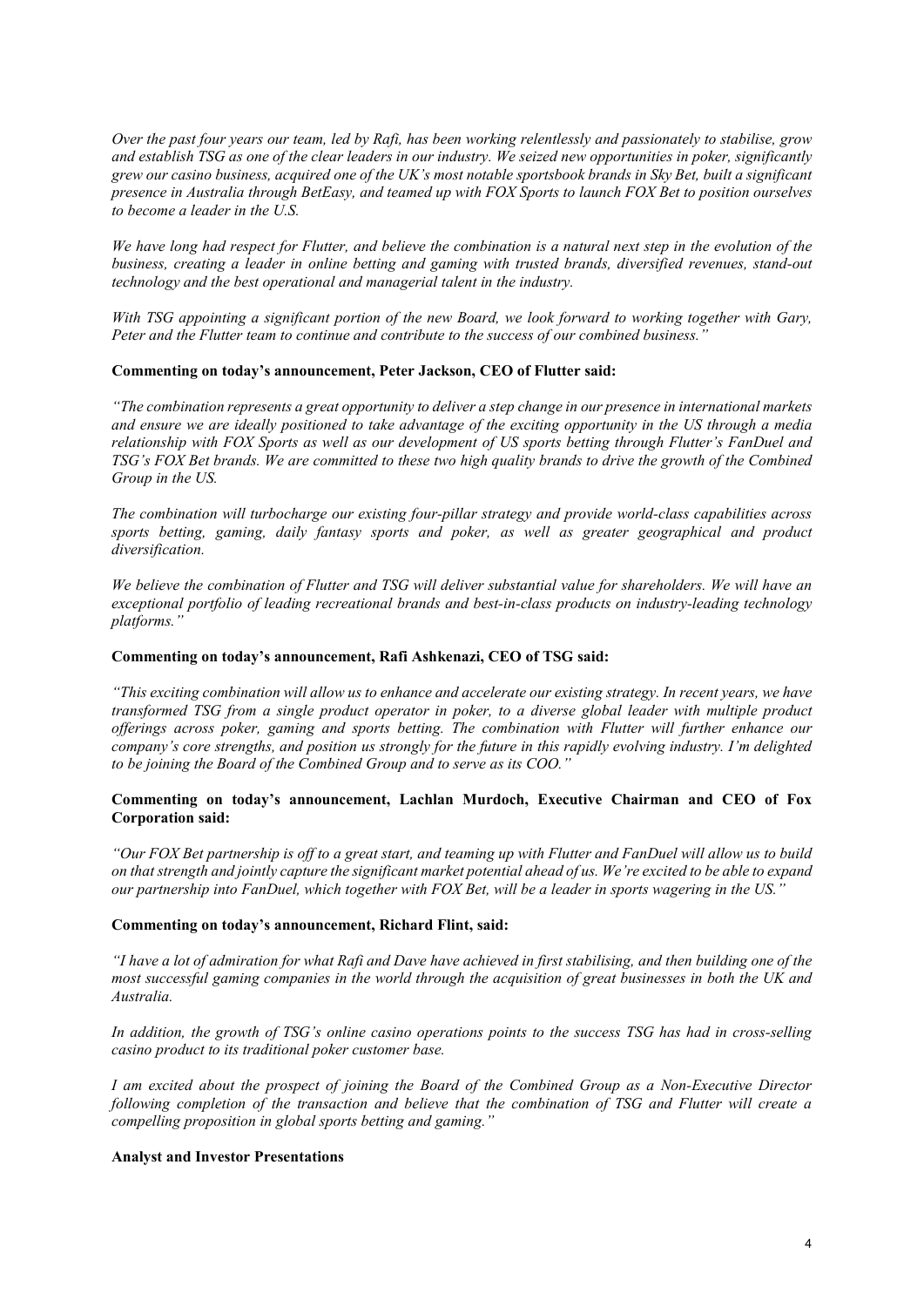*Over the past four years our team, led by Rafi, has been working relentlessly and passionately to stabilise, grow and establish TSG as one of the clear leaders in our industry. We seized new opportunities in poker, significantly grew our casino business, acquired one of the UK's most notable sportsbook brands in Sky Bet, built a significant presence in Australia through BetEasy, and teamed up with FOX Sports to launch FOX Bet to position ourselves to become a leader in the U.S.*

*We have long had respect for Flutter, and believe the combination is a natural next step in the evolution of the business, creating a leader in online betting and gaming with trusted brands, diversified revenues, stand-out technology and the best operational and managerial talent in the industry.*

*With TSG appointing a significant portion of the new Board, we look forward to working together with Gary, Peter and the Flutter team to continue and contribute to the success of our combined business."*

#### **Commenting on today's announcement, Peter Jackson, CEO of Flutter said:**

*"The combination represents a great opportunity to deliver a step change in our presence in international markets and ensure we are ideally positioned to take advantage of the exciting opportunity in the US through a media relationship with FOX Sports as well as our development of US sports betting through Flutter's FanDuel and TSG's FOX Bet brands. We are committed to these two high quality brands to drive the growth of the Combined Group in the US.*

*The combination will turbocharge our existing four-pillar strategy and provide world-class capabilities across sports betting, gaming, daily fantasy sports and poker, as well as greater geographical and product diversification.* 

*We believe the combination of Flutter and TSG will deliver substantial value for shareholders. We will have an exceptional portfolio of leading recreational brands and best-in-class products on industry-leading technology platforms."* 

#### **Commenting on today's announcement, Rafi Ashkenazi, CEO of TSG said:**

*"This exciting combination will allow us to enhance and accelerate our existing strategy. In recent years, we have transformed TSG from a single product operator in poker, to a diverse global leader with multiple product offerings across poker, gaming and sports betting. The combination with Flutter will further enhance our company's core strengths, and position us strongly for the future in this rapidly evolving industry. I'm delighted to be joining the Board of the Combined Group and to serve as its COO."*

### **Commenting on today's announcement, Lachlan Murdoch, Executive Chairman and CEO of Fox Corporation said:**

*"Our FOX Bet partnership is off to a great start, and teaming up with Flutter and FanDuel will allow us to build on that strength and jointly capture the significant market potential ahead of us. We're excited to be able to expand our partnership into FanDuel, which together with FOX Bet, will be a leader in sports wagering in the US."*

#### **Commenting on today's announcement, Richard Flint, said:**

*"I have a lot of admiration for what Rafi and Dave have achieved in first stabilising, and then building one of the most successful gaming companies in the world through the acquisition of great businesses in both the UK and Australia.* 

*In addition, the growth of TSG's online casino operations points to the success TSG has had in cross-selling casino product to its traditional poker customer base.*

*I am excited about the prospect of joining the Board of the Combined Group as a Non-Executive Director following completion of the transaction and believe that the combination of TSG and Flutter will create a compelling proposition in global sports betting and gaming."*

#### **Analyst and Investor Presentations**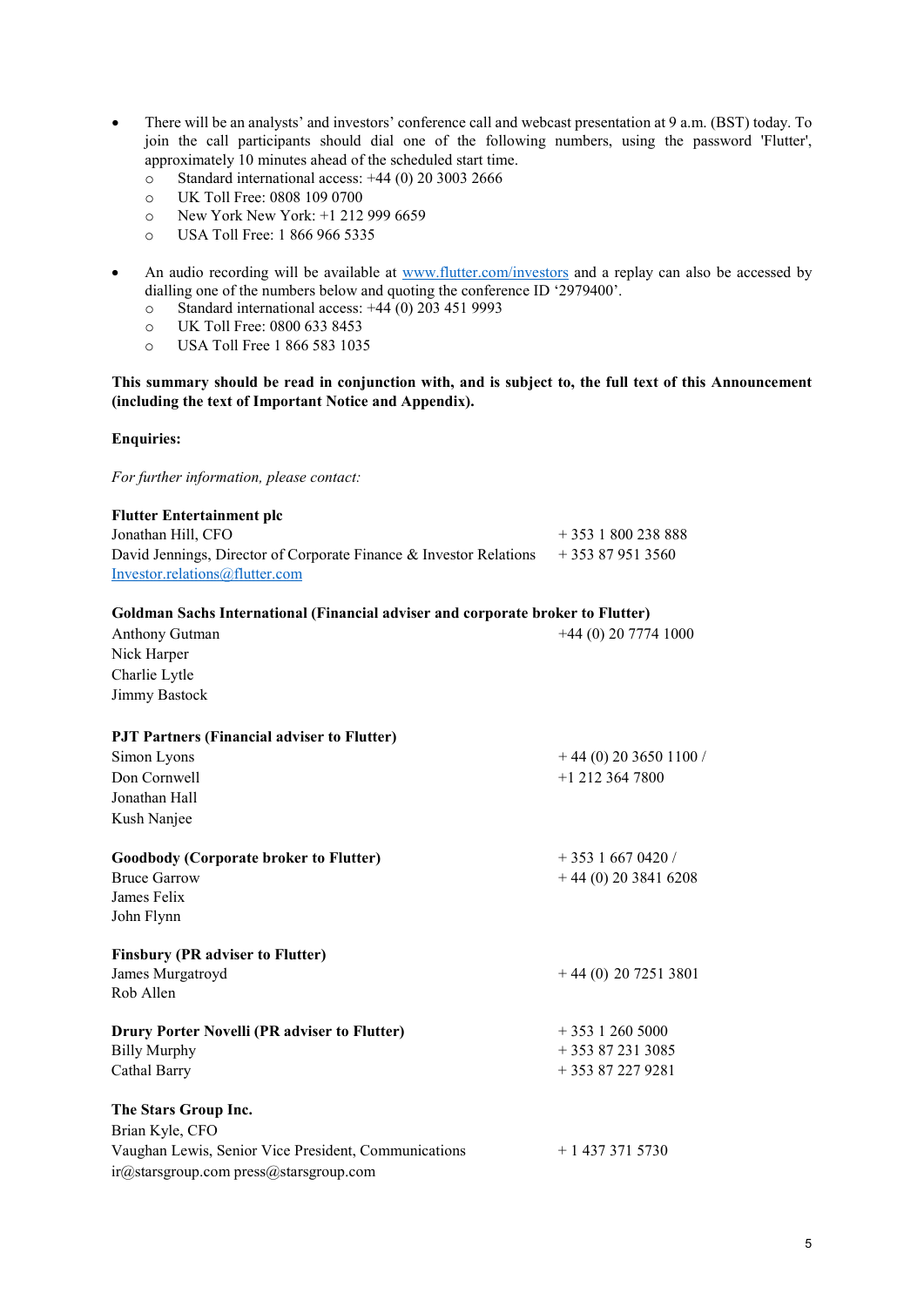- There will be an analysts' and investors' conference call and webcast presentation at 9 a.m. (BST) today. To join the call participants should dial one of the following numbers, using the password 'Flutter', approximately 10 minutes ahead of the scheduled start time.
	- o Standard international access: +44 (0) 20 3003 2666
	- o UK Toll Free: 0808 109 0700<br>
	o New York New York: +1 212
	- o New York New York: +1 212 999 6659<br>
	o USA Toll Free: 1 866 966 5335
	- USA Toll Free: 1 866 966 5335
- An audio recording will be available at [www.flutter.com/investors](http://www.flutter.com/investors) and a replay can also be accessed by dialling one of the numbers below and quoting the conference ID '2979400'.
	- o Standard international access: +44 (0) 203 451 9993<br>
	o UK Toll Free: 0800 633 8453
	-
	- o UK Toll Free: 0800 633 8453<br>
	o USA Toll Free 1 866 583 103: USA Toll Free 1 866 583 1035

## **This summary should be read in conjunction with, and is subject to, the full text of this Announcement (including the text of Important Notice and Appendix).**

# **Enquiries:**

*For further information, please contact:*

| <b>Flutter Entertainment plc</b>                                                |                         |
|---------------------------------------------------------------------------------|-------------------------|
| Jonathan Hill, CFO                                                              | $+3531800238888$        |
| David Jennings, Director of Corporate Finance & Investor Relations              | $+353879513560$         |
| Investor.relations@flutter.com                                                  |                         |
| Goldman Sachs International (Financial adviser and corporate broker to Flutter) |                         |
| Anthony Gutman                                                                  | $+44(0)$ 20 7774 1000   |
| Nick Harper                                                                     |                         |
| Charlie Lytle                                                                   |                         |
| <b>Jimmy Bastock</b>                                                            |                         |
| PJT Partners (Financial adviser to Flutter)                                     |                         |
| Simon Lyons                                                                     | $+44(0)$ 20 3650 1100 / |
| Don Cornwell                                                                    | $+1$ 212 364 7800       |
| Jonathan Hall                                                                   |                         |
| Kush Nanjee                                                                     |                         |
| <b>Goodbody (Corporate broker to Flutter)</b>                                   | $+35316670420/$         |
| <b>Bruce Garrow</b>                                                             | $+44(0)$ 20 3841 6208   |
| James Felix                                                                     |                         |
| John Flynn                                                                      |                         |
| <b>Finsbury (PR adviser to Flutter)</b>                                         |                         |
| James Murgatroyd                                                                | $+44(0)$ 20 7251 3801   |
| Rob Allen                                                                       |                         |
| Drury Porter Novelli (PR adviser to Flutter)                                    | $+35312605000$          |
| <b>Billy Murphy</b>                                                             | $+353872313085$         |
| Cathal Barry                                                                    | $+353872279281$         |
| The Stars Group Inc.                                                            |                         |
| Brian Kyle, CFO                                                                 |                         |
| Vaughan Lewis, Senior Vice President, Communications                            | $+14373715730$          |
| ir@starsgroup.com press@starsgroup.com                                          |                         |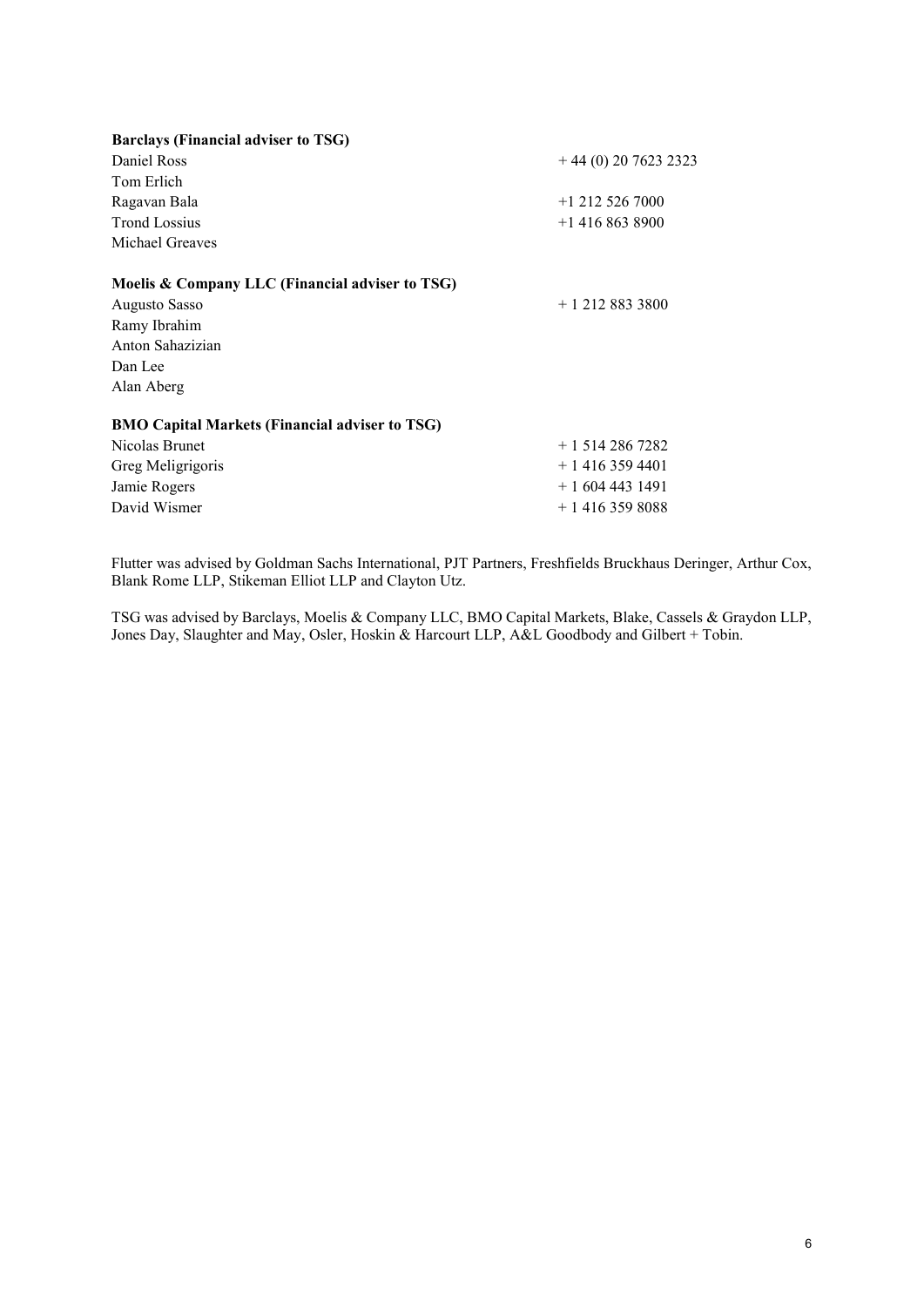| <b>Barclays (Financial adviser to TSG)</b>            |                       |
|-------------------------------------------------------|-----------------------|
| Daniel Ross                                           | $+44(0)$ 20 7623 2323 |
| Tom Erlich                                            |                       |
| Ragavan Bala                                          | $+1$ 212 526 7000     |
| <b>Trond Lossius</b>                                  | $+1$ 416 863 8900     |
| Michael Greaves                                       |                       |
| Moelis & Company LLC (Financial adviser to TSG)       |                       |
| Augusto Sasso                                         | $+12128833800$        |
| Ramy Ibrahim                                          |                       |
| Anton Sahazizian                                      |                       |
| Dan Lee                                               |                       |
| Alan Aberg                                            |                       |
| <b>BMO Capital Markets (Financial adviser to TSG)</b> |                       |
| Nicolas Brunet                                        | $+15142867282$        |
| Greg Meligrigoris                                     | $+14163594401$        |
| Jamie Rogers                                          | + 1 604 443 1491      |
| David Wismer                                          | $+14163598088$        |

Flutter was advised by Goldman Sachs International, PJT Partners, Freshfields Bruckhaus Deringer, Arthur Cox, Blank Rome LLP, Stikeman Elliot LLP and Clayton Utz.

TSG was advised by Barclays, Moelis & Company LLC, BMO Capital Markets, Blake, Cassels & Graydon LLP, Jones Day, Slaughter and May, Osler, Hoskin & Harcourt LLP, A&L Goodbody and Gilbert + Tobin.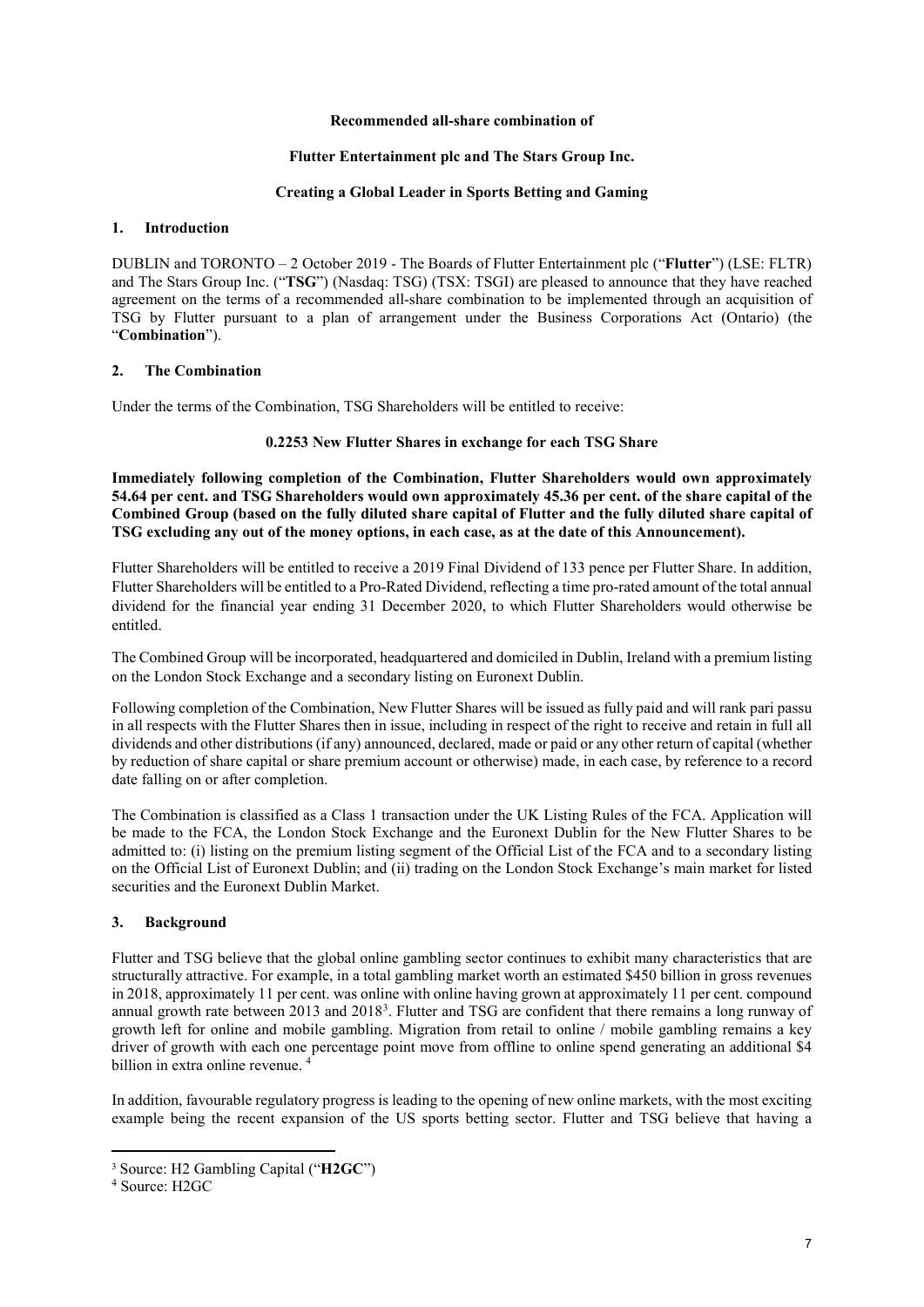#### **Recommended all-share combination of**

#### **Flutter Entertainment plc and The Stars Group Inc.**

#### **Creating a Global Leader in Sports Betting and Gaming**

#### **1. Introduction**

DUBLIN and TORONTO – 2 October 2019 - The Boards of Flutter Entertainment plc ("**Flutter**") (LSE: FLTR) and The Stars Group Inc. ("**TSG**") (Nasdaq: TSG) (TSX: TSGI) are pleased to announce that they have reached agreement on the terms of a recommended all-share combination to be implemented through an acquisition of TSG by Flutter pursuant to a plan of arrangement under the Business Corporations Act (Ontario) (the "**Combination**").

#### **2. The Combination**

Under the terms of the Combination, TSG Shareholders will be entitled to receive:

#### **0.2253 New Flutter Shares in exchange for each TSG Share**

**Immediately following completion of the Combination, Flutter Shareholders would own approximately 54.64 per cent. and TSG Shareholders would own approximately 45.36 per cent. of the share capital of the Combined Group (based on the fully diluted share capital of Flutter and the fully diluted share capital of TSG excluding any out of the money options, in each case, as at the date of this Announcement).**

Flutter Shareholders will be entitled to receive a 2019 Final Dividend of 133 pence per Flutter Share. In addition, Flutter Shareholders will be entitled to a Pro-Rated Dividend, reflecting a time pro-rated amount of the total annual dividend for the financial year ending 31 December 2020, to which Flutter Shareholders would otherwise be entitled.

The Combined Group will be incorporated, headquartered and domiciled in Dublin, Ireland with a premium listing on the London Stock Exchange and a secondary listing on Euronext Dublin.

Following completion of the Combination, New Flutter Shares will be issued as fully paid and will rank pari passu in all respects with the Flutter Shares then in issue, including in respect of the right to receive and retain in full all dividends and other distributions (if any) announced, declared, made or paid or any other return of capital (whether by reduction of share capital or share premium account or otherwise) made, in each case, by reference to a record date falling on or after completion.

The Combination is classified as a Class 1 transaction under the UK Listing Rules of the FCA. Application will be made to the FCA, the London Stock Exchange and the Euronext Dublin for the New Flutter Shares to be admitted to: (i) listing on the premium listing segment of the Official List of the FCA and to a secondary listing on the Official List of Euronext Dublin; and (ii) trading on the London Stock Exchange's main market for listed securities and the Euronext Dublin Market.

### **3. Background**

Flutter and TSG believe that the global online gambling sector continues to exhibit many characteristics that are structurally attractive. For example, in a total gambling market worth an estimated \$450 billion in gross revenues in 2018, approximately 11 per cent. was online with online having grown at approximately 11 per cent. compound annual growth rate between 201[3](#page-6-0) and 2018<sup>3</sup>. Flutter and TSG are confident that there remains a long runway of growth left for online and mobile gambling. Migration from retail to online / mobile gambling remains a key driver of growth with each one percentage point move from offline to online spend generating an additional \$4 billion in extra online revenue. [4](#page-6-1)

In addition, favourable regulatory progress is leading to the opening of new online markets, with the most exciting example being the recent expansion of the US sports betting sector. Flutter and TSG believe that having a

 $\overline{\phantom{a}}$ 

<span id="page-6-0"></span><sup>3</sup> Source: H2 Gambling Capital ("**H2GC**")

<span id="page-6-1"></span><sup>4</sup> Source: H2GC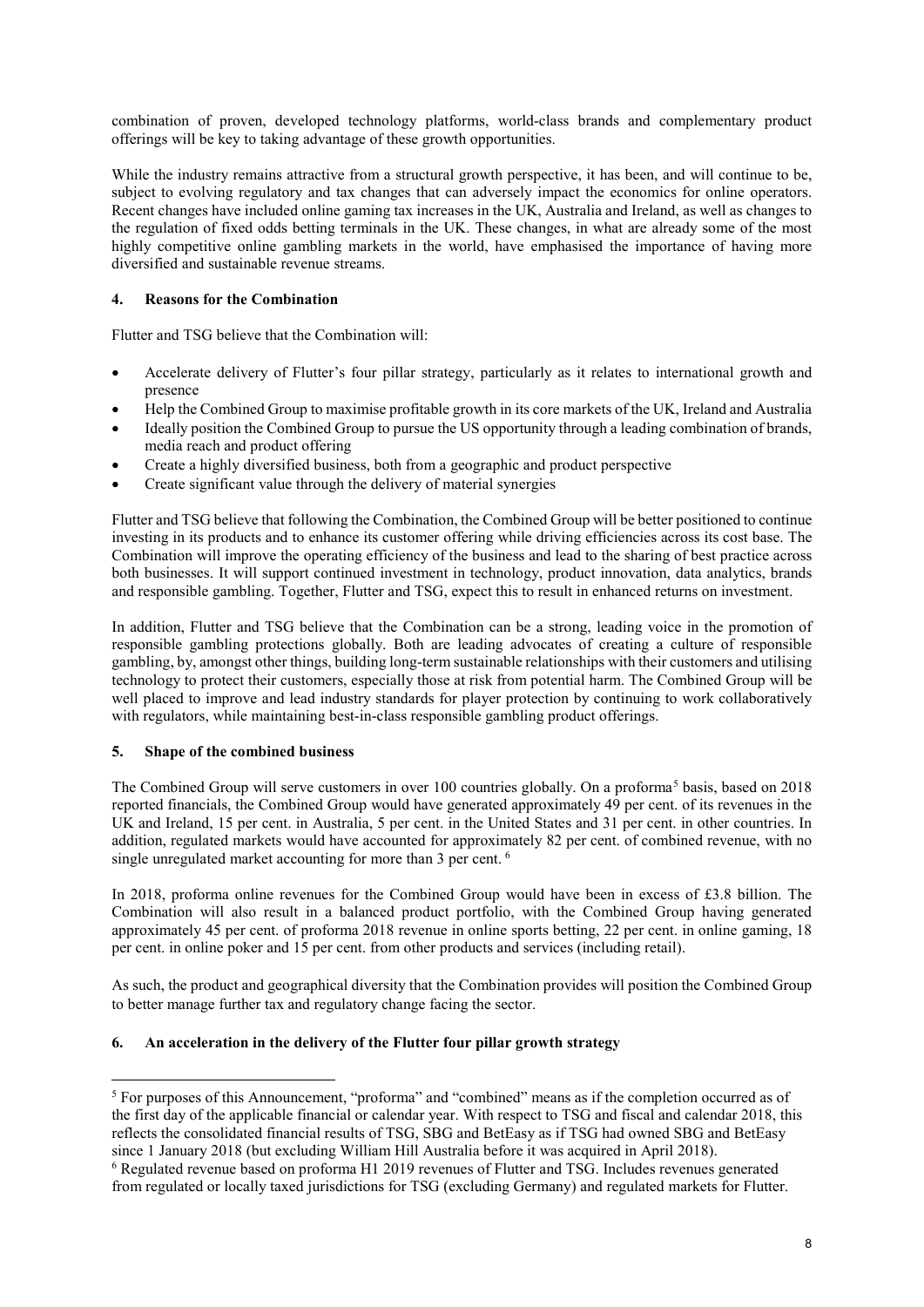combination of proven, developed technology platforms, world-class brands and complementary product offerings will be key to taking advantage of these growth opportunities.

While the industry remains attractive from a structural growth perspective, it has been, and will continue to be, subject to evolving regulatory and tax changes that can adversely impact the economics for online operators. Recent changes have included online gaming tax increases in the UK, Australia and Ireland, as well as changes to the regulation of fixed odds betting terminals in the UK. These changes, in what are already some of the most highly competitive online gambling markets in the world, have emphasised the importance of having more diversified and sustainable revenue streams.

## **4. Reasons for the Combination**

Flutter and TSG believe that the Combination will:

- Accelerate delivery of Flutter's four pillar strategy, particularly as it relates to international growth and presence
- Help the Combined Group to maximise profitable growth in its core markets of the UK, Ireland and Australia
- Ideally position the Combined Group to pursue the US opportunity through a leading combination of brands, media reach and product offering
- Create a highly diversified business, both from a geographic and product perspective
- Create significant value through the delivery of material synergies

Flutter and TSG believe that following the Combination, the Combined Group will be better positioned to continue investing in its products and to enhance its customer offering while driving efficiencies across its cost base. The Combination will improve the operating efficiency of the business and lead to the sharing of best practice across both businesses. It will support continued investment in technology, product innovation, data analytics, brands and responsible gambling. Together, Flutter and TSG, expect this to result in enhanced returns on investment.

In addition, Flutter and TSG believe that the Combination can be a strong, leading voice in the promotion of responsible gambling protections globally. Both are leading advocates of creating a culture of responsible gambling, by, amongst other things, building long-term sustainable relationships with their customers and utilising technology to protect their customers, especially those at risk from potential harm. The Combined Group will be well placed to improve and lead industry standards for player protection by continuing to work collaboratively with regulators, while maintaining best-in-class responsible gambling product offerings.

# **5. Shape of the combined business**

**.** 

The Combined Group will serve customers in over 100 countries globally. On a proforma<sup>[5](#page-7-0)</sup> basis, based on 2018 reported financials, the Combined Group would have generated approximately 49 per cent. of its revenues in the UK and Ireland, 15 per cent. in Australia, 5 per cent. in the United States and 31 per cent. in other countries. In addition, regulated markets would have accounted for approximately 82 per cent. of combined revenue, with no single unregulated market accounting for more than 3 per cent. <sup>[6](#page-7-1)</sup>

In 2018, proforma online revenues for the Combined Group would have been in excess of £3.8 billion. The Combination will also result in a balanced product portfolio, with the Combined Group having generated approximately 45 per cent. of proforma 2018 revenue in online sports betting, 22 per cent. in online gaming, 18 per cent. in online poker and 15 per cent. from other products and services (including retail).

As such, the product and geographical diversity that the Combination provides will position the Combined Group to better manage further tax and regulatory change facing the sector.

## **6. An acceleration in the delivery of the Flutter four pillar growth strategy**

<span id="page-7-0"></span><sup>5</sup> For purposes of this Announcement, "proforma" and "combined" means as if the completion occurred as of the first day of the applicable financial or calendar year. With respect to TSG and fiscal and calendar 2018, this reflects the consolidated financial results of TSG, SBG and BetEasy as if TSG had owned SBG and BetEasy since 1 January 2018 (but excluding William Hill Australia before it was acquired in April 2018).

<span id="page-7-1"></span><sup>6</sup> Regulated revenue based on proforma H1 2019 revenues of Flutter and TSG. Includes revenues generated from regulated or locally taxed jurisdictions for TSG (excluding Germany) and regulated markets for Flutter.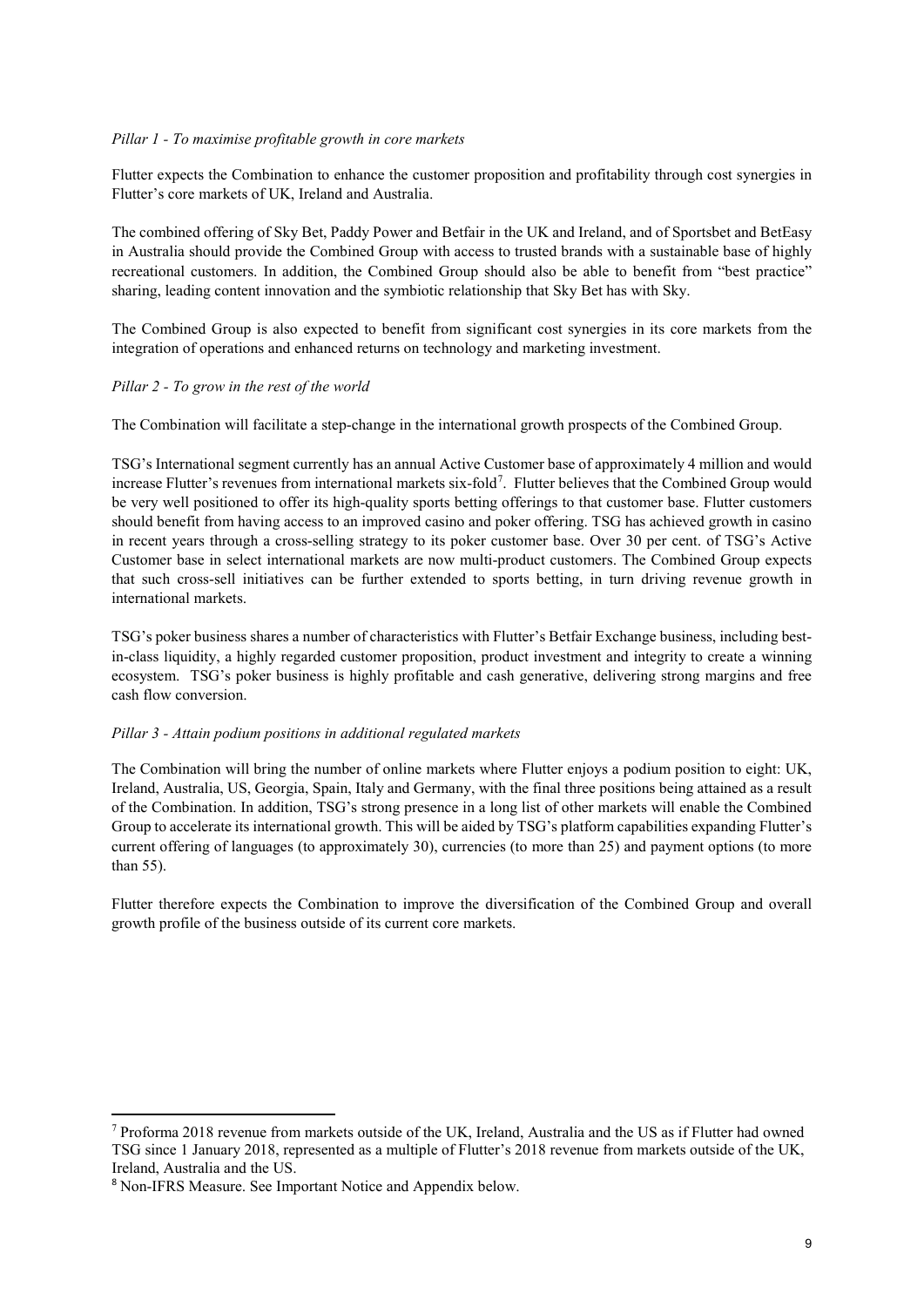## *Pillar 1 - To maximise profitable growth in core markets*

Flutter expects the Combination to enhance the customer proposition and profitability through cost synergies in Flutter's core markets of UK, Ireland and Australia.

The combined offering of Sky Bet, Paddy Power and Betfair in the UK and Ireland, and of Sportsbet and BetEasy in Australia should provide the Combined Group with access to trusted brands with a sustainable base of highly recreational customers. In addition, the Combined Group should also be able to benefit from "best practice" sharing, leading content innovation and the symbiotic relationship that Sky Bet has with Sky.

The Combined Group is also expected to benefit from significant cost synergies in its core markets from the integration of operations and enhanced returns on technology and marketing investment.

### *Pillar 2 - To grow in the rest of the world*

The Combination will facilitate a step-change in the international growth prospects of the Combined Group.

TSG's International segment currently has an annual Active Customer base of approximately 4 million and would increase Flutter's revenues from international markets six-fold<sup>[7](#page-8-0)</sup>. Flutter believes that the Combined Group would be very well positioned to offer its high-quality sports betting offerings to that customer base. Flutter customers should benefit from having access to an improved casino and poker offering. TSG has achieved growth in casino in recent years through a cross-selling strategy to its poker customer base. Over 30 per cent. of TSG's Active Customer base in select international markets are now multi-product customers. The Combined Group expects that such cross-sell initiatives can be further extended to sports betting, in turn driving revenue growth in international markets.

TSG's poker business shares a number of characteristics with Flutter's Betfair Exchange business, including bestin-class liquidity, a highly regarded customer proposition, product investment and integrity to create a winning ecosystem. TSG's poker business is highly profitable and cash generative, delivering strong margins and free cash flow conversion.

# *Pillar 3 - Attain podium positions in additional regulated markets*

The Combination will bring the number of online markets where Flutter enjoys a podium position to eight: UK, Ireland, Australia, US, Georgia, Spain, Italy and Germany, with the final three positions being attained as a result of the Combination. In addition, TSG's strong presence in a long list of other markets will enable the Combined Group to accelerate its international growth. This will be aided by TSG's platform capabilities expanding Flutter's current offering of languages (to approximately 30), currencies (to more than 25) and payment options (to more than 55).

Flutter therefore expects the Combination to improve the diversification of the Combined Group and overall growth profile of the business outside of its current core markets.

 $\overline{\phantom{a}}$ 

<span id="page-8-0"></span><sup>7</sup> Proforma 2018 revenue from markets outside of the UK, Ireland, Australia and the US as if Flutter had owned TSG since 1 January 2018, represented as a multiple of Flutter's 2018 revenue from markets outside of the UK, Ireland, Australia and the US.

<sup>8</sup> Non-IFRS Measure. See Important Notice and Appendix below.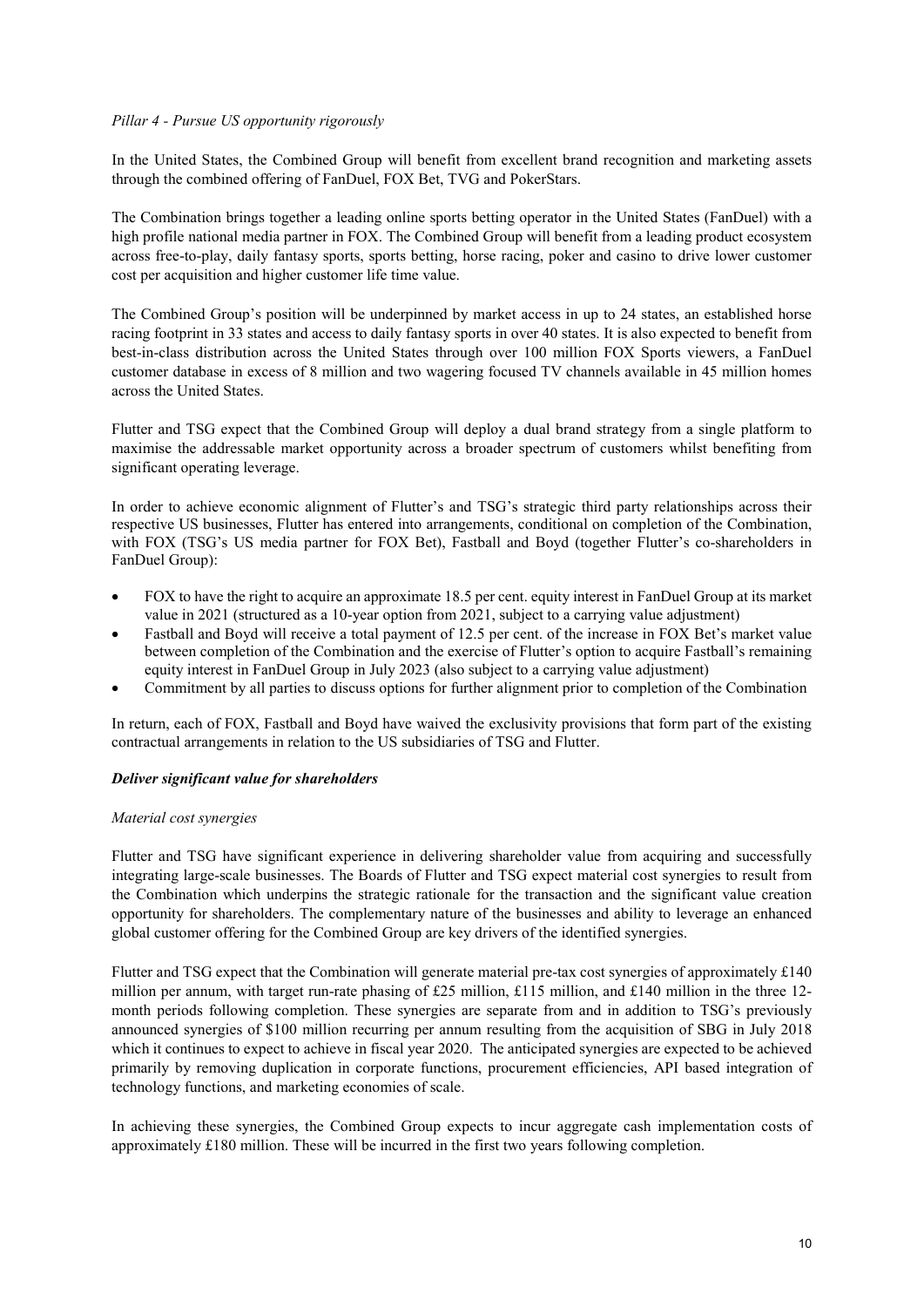### *Pillar 4 - Pursue US opportunity rigorously*

In the United States, the Combined Group will benefit from excellent brand recognition and marketing assets through the combined offering of FanDuel, FOX Bet, TVG and PokerStars.

The Combination brings together a leading online sports betting operator in the United States (FanDuel) with a high profile national media partner in FOX. The Combined Group will benefit from a leading product ecosystem across free-to-play, daily fantasy sports, sports betting, horse racing, poker and casino to drive lower customer cost per acquisition and higher customer life time value.

The Combined Group's position will be underpinned by market access in up to 24 states, an established horse racing footprint in 33 states and access to daily fantasy sports in over 40 states. It is also expected to benefit from best-in-class distribution across the United States through over 100 million FOX Sports viewers, a FanDuel customer database in excess of 8 million and two wagering focused TV channels available in 45 million homes across the United States.

Flutter and TSG expect that the Combined Group will deploy a dual brand strategy from a single platform to maximise the addressable market opportunity across a broader spectrum of customers whilst benefiting from significant operating leverage.

In order to achieve economic alignment of Flutter's and TSG's strategic third party relationships across their respective US businesses, Flutter has entered into arrangements, conditional on completion of the Combination, with FOX (TSG's US media partner for FOX Bet), Fastball and Boyd (together Flutter's co-shareholders in FanDuel Group):

- FOX to have the right to acquire an approximate 18.5 per cent. equity interest in FanDuel Group at its market value in 2021 (structured as a 10-year option from 2021, subject to a carrying value adjustment)
- Fastball and Boyd will receive a total payment of 12.5 per cent. of the increase in FOX Bet's market value between completion of the Combination and the exercise of Flutter's option to acquire Fastball's remaining equity interest in FanDuel Group in July 2023 (also subject to a carrying value adjustment)
- Commitment by all parties to discuss options for further alignment prior to completion of the Combination

In return, each of FOX, Fastball and Boyd have waived the exclusivity provisions that form part of the existing contractual arrangements in relation to the US subsidiaries of TSG and Flutter.

### *Deliver significant value for shareholders*

#### *Material cost synergies*

Flutter and TSG have significant experience in delivering shareholder value from acquiring and successfully integrating large-scale businesses. The Boards of Flutter and TSG expect material cost synergies to result from the Combination which underpins the strategic rationale for the transaction and the significant value creation opportunity for shareholders. The complementary nature of the businesses and ability to leverage an enhanced global customer offering for the Combined Group are key drivers of the identified synergies.

Flutter and TSG expect that the Combination will generate material pre-tax cost synergies of approximately £140 million per annum, with target run-rate phasing of £25 million, £115 million, and £140 million in the three 12month periods following completion. These synergies are separate from and in addition to TSG's previously announced synergies of \$100 million recurring per annum resulting from the acquisition of SBG in July 2018 which it continues to expect to achieve in fiscal year 2020. The anticipated synergies are expected to be achieved primarily by removing duplication in corporate functions, procurement efficiencies, API based integration of technology functions, and marketing economies of scale.

<span id="page-9-0"></span>In achieving these synergies, the Combined Group expects to incur aggregate cash implementation costs of approximately £180 million. These will be incurred in the first two years following completion.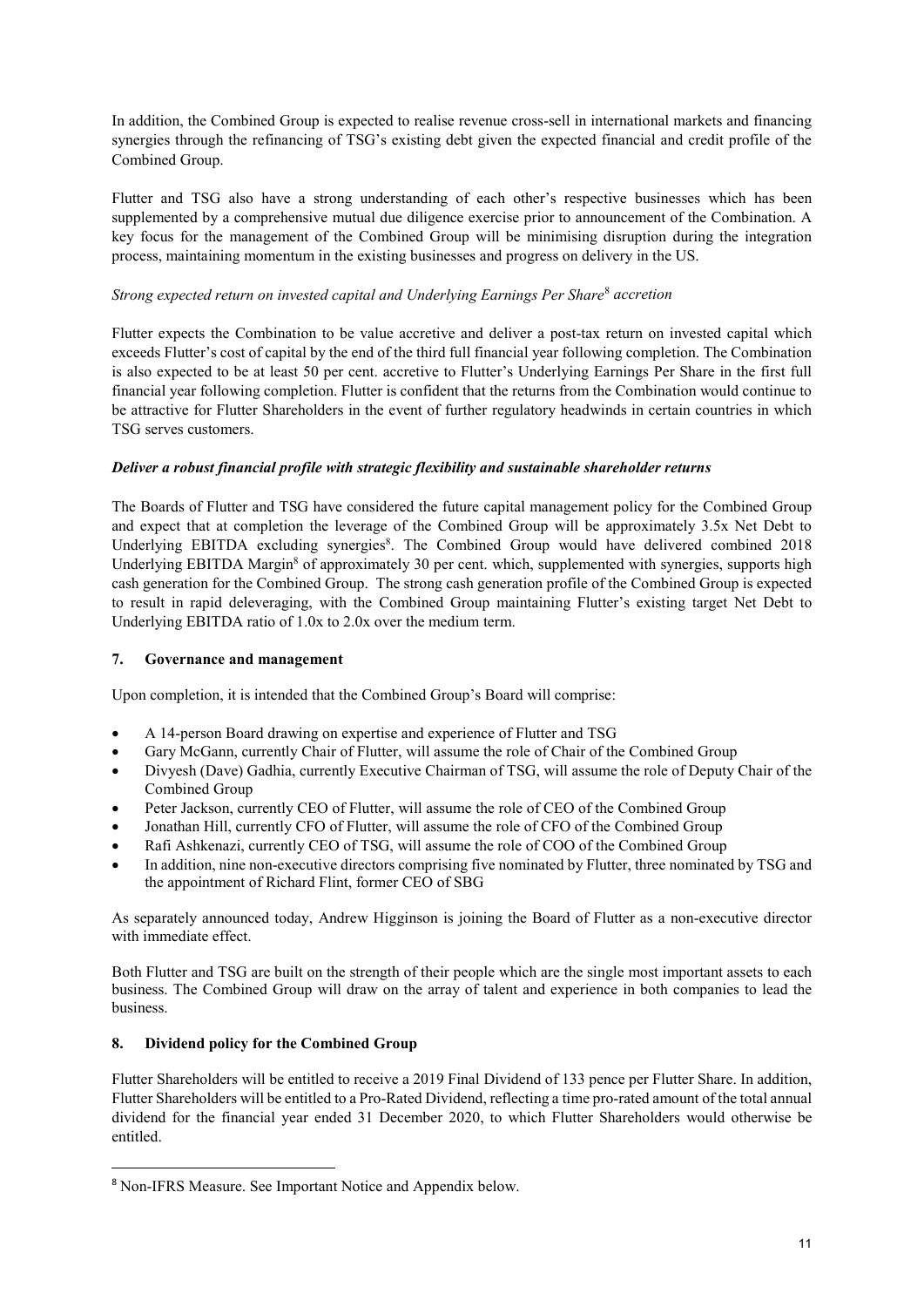In addition, the Combined Group is expected to realise revenue cross-sell in international markets and financing synergies through the refinancing of TSG's existing debt given the expected financial and credit profile of the Combined Group.

Flutter and TSG also have a strong understanding of each other's respective businesses which has been supplemented by a comprehensive mutual due diligence exercise prior to announcement of the Combination. A key focus for the management of the Combined Group will be minimising disruption during the integration process, maintaining momentum in the existing businesses and progress on delivery in the US.

# *Strong expected return on invested capital and Underlying Earnings Per Share*[8](#page-9-0) *accretion*

Flutter expects the Combination to be value accretive and deliver a post-tax return on invested capital which exceeds Flutter's cost of capital by the end of the third full financial year following completion. The Combination is also expected to be at least 50 per cent. accretive to Flutter's Underlying Earnings Per Share in the first full financial year following completion. Flutter is confident that the returns from the Combination would continue to be attractive for Flutter Shareholders in the event of further regulatory headwinds in certain countries in which TSG serves customers.

# *Deliver a robust financial profile with strategic flexibility and sustainable shareholder returns*

The Boards of Flutter and TSG have considered the future capital management policy for the Combined Group and expect that at completion the leverage of the Combined Group will be approximately 3.5x Net Debt to Underlying EBITDA excluding synergies<sup>8</sup>. The Combined Group would have delivered combined 2018 Underlying EBITDA Margin<sup>8</sup> of approximately 30 per cent. which, supplemented with synergies, supports high cash generation for the Combined Group. The strong cash generation profile of the Combined Group is expected to result in rapid deleveraging, with the Combined Group maintaining Flutter's existing target Net Debt to Underlying EBITDA ratio of 1.0x to 2.0x over the medium term.

### **7. Governance and management**

Upon completion, it is intended that the Combined Group's Board will comprise:

- A 14-person Board drawing on expertise and experience of Flutter and TSG
- Gary McGann, currently Chair of Flutter, will assume the role of Chair of the Combined Group
- Divyesh (Dave) Gadhia, currently Executive Chairman of TSG, will assume the role of Deputy Chair of the Combined Group
- Peter Jackson, currently CEO of Flutter, will assume the role of CEO of the Combined Group
- Jonathan Hill, currently CFO of Flutter, will assume the role of CFO of the Combined Group
- Rafi Ashkenazi, currently CEO of TSG, will assume the role of COO of the Combined Group
- In addition, nine non-executive directors comprising five nominated by Flutter, three nominated by TSG and the appointment of Richard Flint, former CEO of SBG

As separately announced today, Andrew Higginson is joining the Board of Flutter as a non-executive director with immediate effect.

Both Flutter and TSG are built on the strength of their people which are the single most important assets to each business. The Combined Group will draw on the array of talent and experience in both companies to lead the business.

### **8. Dividend policy for the Combined Group**

Flutter Shareholders will be entitled to receive a 2019 Final Dividend of 133 pence per Flutter Share. In addition, Flutter Shareholders will be entitled to a Pro-Rated Dividend, reflecting a time pro-rated amount of the total annual dividend for the financial year ended 31 December 2020, to which Flutter Shareholders would otherwise be entitled.

 <sup>8</sup> Non-IFRS Measure. See Important Notice and Appendix below.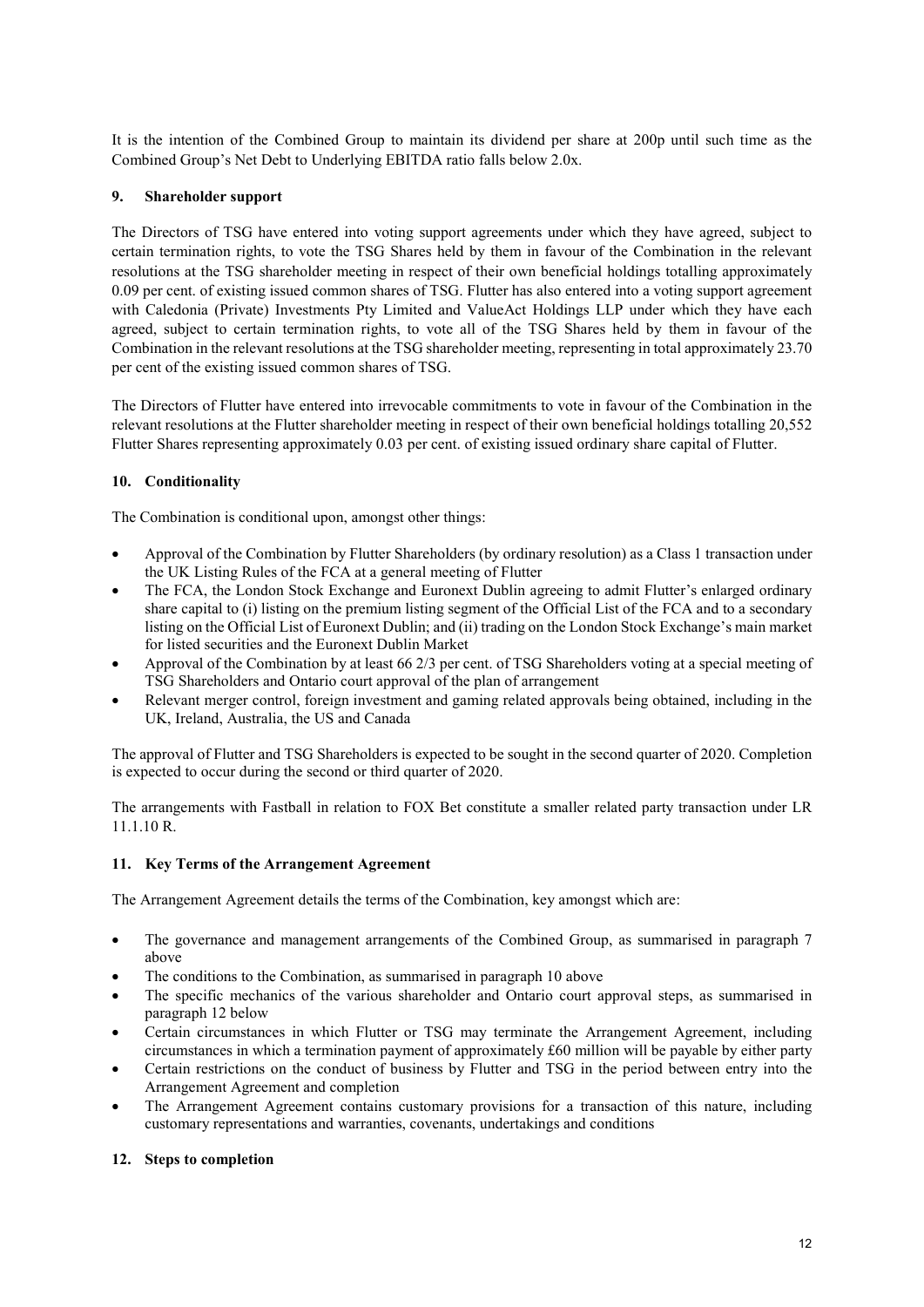It is the intention of the Combined Group to maintain its dividend per share at 200p until such time as the Combined Group's Net Debt to Underlying EBITDA ratio falls below 2.0x.

## **9. Shareholder support**

The Directors of TSG have entered into voting support agreements under which they have agreed, subject to certain termination rights, to vote the TSG Shares held by them in favour of the Combination in the relevant resolutions at the TSG shareholder meeting in respect of their own beneficial holdings totalling approximately 0.09 per cent. of existing issued common shares of TSG. Flutter has also entered into a voting support agreement with Caledonia (Private) Investments Pty Limited and ValueAct Holdings LLP under which they have each agreed, subject to certain termination rights, to vote all of the TSG Shares held by them in favour of the Combination in the relevant resolutions at the TSG shareholder meeting, representing in total approximately 23.70 per cent of the existing issued common shares of TSG.

The Directors of Flutter have entered into irrevocable commitments to vote in favour of the Combination in the relevant resolutions at the Flutter shareholder meeting in respect of their own beneficial holdings totalling 20,552 Flutter Shares representing approximately 0.03 per cent. of existing issued ordinary share capital of Flutter.

## **10. Conditionality**

The Combination is conditional upon, amongst other things:

- Approval of the Combination by Flutter Shareholders (by ordinary resolution) as a Class 1 transaction under the UK Listing Rules of the FCA at a general meeting of Flutter
- The FCA, the London Stock Exchange and Euronext Dublin agreeing to admit Flutter's enlarged ordinary share capital to (i) listing on the premium listing segment of the Official List of the FCA and to a secondary listing on the Official List of Euronext Dublin; and (ii) trading on the London Stock Exchange's main market for listed securities and the Euronext Dublin Market
- Approval of the Combination by at least 66 2/3 per cent. of TSG Shareholders voting at a special meeting of TSG Shareholders and Ontario court approval of the plan of arrangement
- Relevant merger control, foreign investment and gaming related approvals being obtained, including in the UK, Ireland, Australia, the US and Canada

The approval of Flutter and TSG Shareholders is expected to be sought in the second quarter of 2020. Completion is expected to occur during the second or third quarter of 2020.

The arrangements with Fastball in relation to FOX Bet constitute a smaller related party transaction under LR 11.1.10 R.

### **11. Key Terms of the Arrangement Agreement**

The Arrangement Agreement details the terms of the Combination, key amongst which are:

- The governance and management arrangements of the Combined Group, as summarised in paragraph 7 above
- The conditions to the Combination, as summarised in paragraph 10 above
- The specific mechanics of the various shareholder and Ontario court approval steps, as summarised in paragraph 12 below
- Certain circumstances in which Flutter or TSG may terminate the Arrangement Agreement, including circumstances in which a termination payment of approximately £60 million will be payable by either party
- Certain restrictions on the conduct of business by Flutter and TSG in the period between entry into the Arrangement Agreement and completion
- The Arrangement Agreement contains customary provisions for a transaction of this nature, including customary representations and warranties, covenants, undertakings and conditions

# **12. Steps to completion**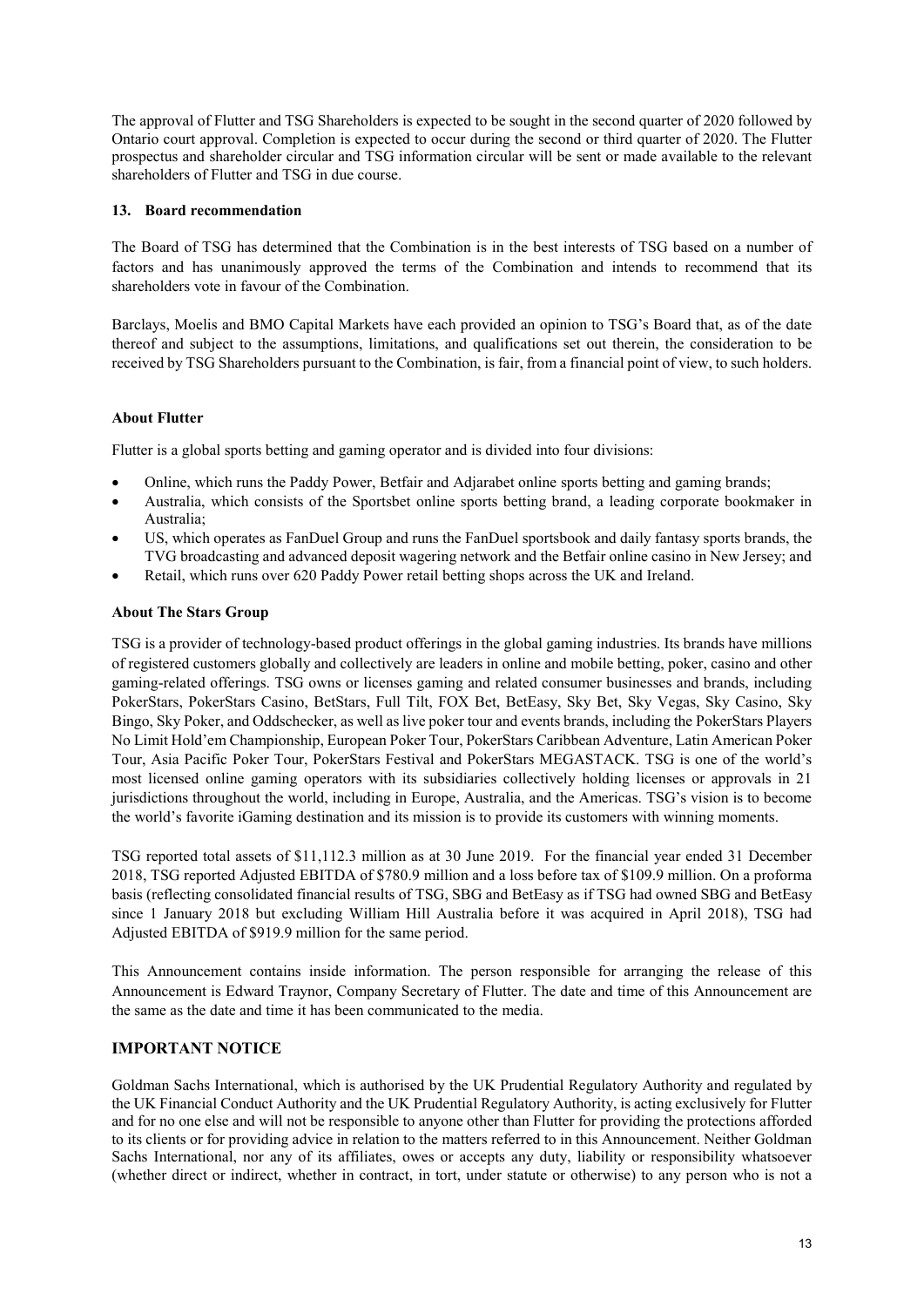The approval of Flutter and TSG Shareholders is expected to be sought in the second quarter of 2020 followed by Ontario court approval. Completion is expected to occur during the second or third quarter of 2020. The Flutter prospectus and shareholder circular and TSG information circular will be sent or made available to the relevant shareholders of Flutter and TSG in due course.

## **13. Board recommendation**

The Board of TSG has determined that the Combination is in the best interests of TSG based on a number of factors and has unanimously approved the terms of the Combination and intends to recommend that its shareholders vote in favour of the Combination.

Barclays, Moelis and BMO Capital Markets have each provided an opinion to TSG's Board that, as of the date thereof and subject to the assumptions, limitations, and qualifications set out therein, the consideration to be received by TSG Shareholders pursuant to the Combination, is fair, from a financial point of view, to such holders.

# **About Flutter**

Flutter is a global sports betting and gaming operator and is divided into four divisions:

- Online, which runs the Paddy Power, Betfair and Adjarabet online sports betting and gaming brands;
- Australia, which consists of the Sportsbet online sports betting brand, a leading corporate bookmaker in Australia;
- US, which operates as FanDuel Group and runs the FanDuel sportsbook and daily fantasy sports brands, the TVG broadcasting and advanced deposit wagering network and the Betfair online casino in New Jersey; and
- Retail, which runs over 620 Paddy Power retail betting shops across the UK and Ireland.

## **About The Stars Group**

TSG is a provider of technology-based product offerings in the global gaming industries. Its brands have millions of registered customers globally and collectively are leaders in online and mobile betting, poker, casino and other gaming-related offerings. TSG owns or licenses gaming and related consumer businesses and brands, including PokerStars, PokerStars Casino, BetStars, Full Tilt, FOX Bet, BetEasy, Sky Bet, Sky Vegas, Sky Casino, Sky Bingo, Sky Poker, and Oddschecker, as well as live poker tour and events brands, including the PokerStars Players No Limit Hold'em Championship, European Poker Tour, PokerStars Caribbean Adventure, Latin American Poker Tour, Asia Pacific Poker Tour, PokerStars Festival and PokerStars MEGASTACK. TSG is one of the world's most licensed online gaming operators with its subsidiaries collectively holding licenses or approvals in 21 jurisdictions throughout the world, including in Europe, Australia, and the Americas. TSG's vision is to become the world's favorite iGaming destination and its mission is to provide its customers with winning moments.

TSG reported total assets of \$11,112.3 million as at 30 June 2019. For the financial year ended 31 December 2018, TSG reported Adjusted EBITDA of \$780.9 million and a loss before tax of \$109.9 million. On a proforma basis (reflecting consolidated financial results of TSG, SBG and BetEasy as if TSG had owned SBG and BetEasy since 1 January 2018 but excluding William Hill Australia before it was acquired in April 2018), TSG had Adjusted EBITDA of \$919.9 million for the same period.

This Announcement contains inside information. The person responsible for arranging the release of this Announcement is Edward Traynor, Company Secretary of Flutter. The date and time of this Announcement are the same as the date and time it has been communicated to the media.

# **IMPORTANT NOTICE**

Goldman Sachs International, which is authorised by the UK Prudential Regulatory Authority and regulated by the UK Financial Conduct Authority and the UK Prudential Regulatory Authority, is acting exclusively for Flutter and for no one else and will not be responsible to anyone other than Flutter for providing the protections afforded to its clients or for providing advice in relation to the matters referred to in this Announcement. Neither Goldman Sachs International, nor any of its affiliates, owes or accepts any duty, liability or responsibility whatsoever (whether direct or indirect, whether in contract, in tort, under statute or otherwise) to any person who is not a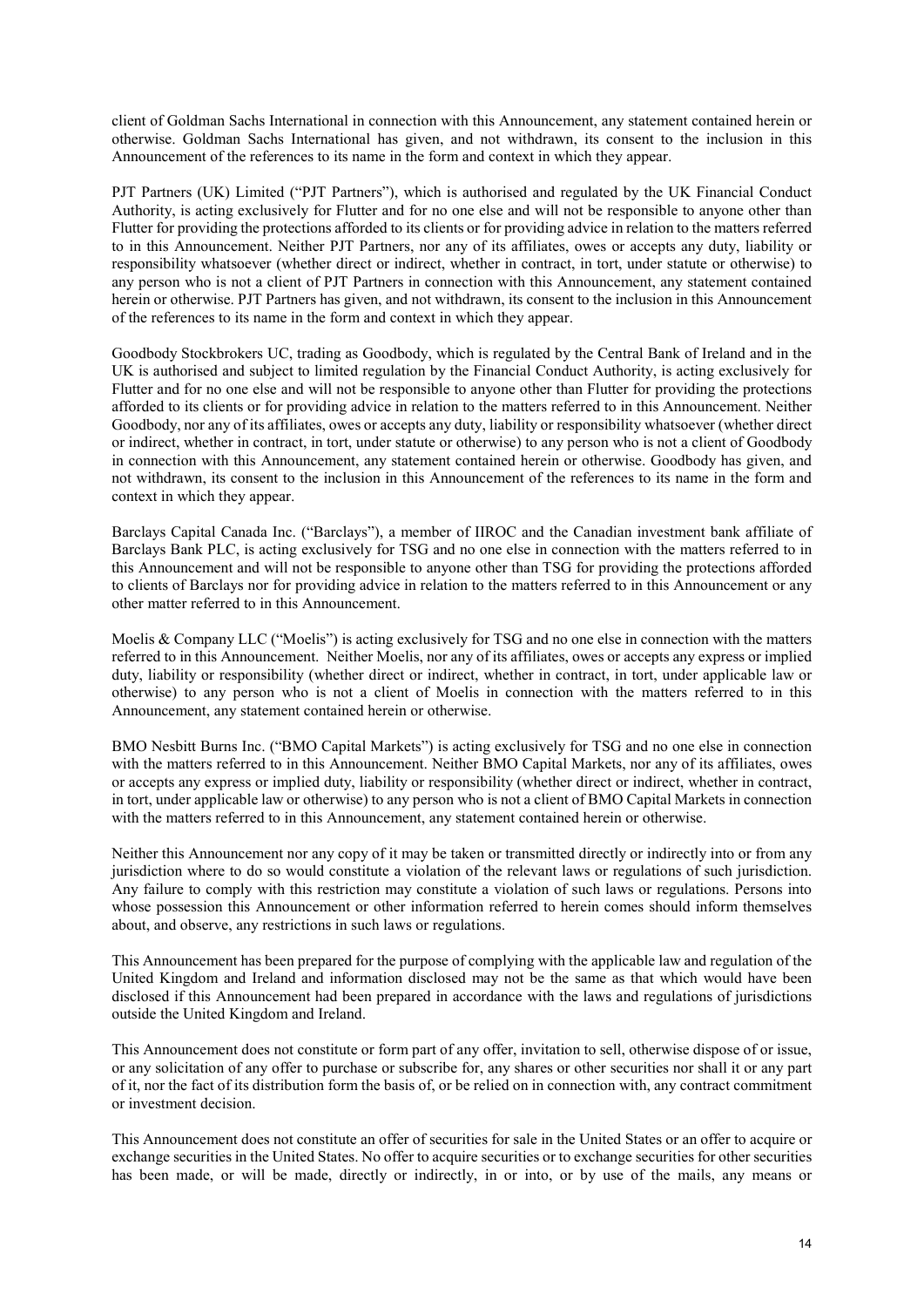client of Goldman Sachs International in connection with this Announcement, any statement contained herein or otherwise. Goldman Sachs International has given, and not withdrawn, its consent to the inclusion in this Announcement of the references to its name in the form and context in which they appear.

PJT Partners (UK) Limited ("PJT Partners"), which is authorised and regulated by the UK Financial Conduct Authority, is acting exclusively for Flutter and for no one else and will not be responsible to anyone other than Flutter for providing the protections afforded to its clients or for providing advice in relation to the matters referred to in this Announcement. Neither PJT Partners, nor any of its affiliates, owes or accepts any duty, liability or responsibility whatsoever (whether direct or indirect, whether in contract, in tort, under statute or otherwise) to any person who is not a client of PJT Partners in connection with this Announcement, any statement contained herein or otherwise. PJT Partners has given, and not withdrawn, its consent to the inclusion in this Announcement of the references to its name in the form and context in which they appear.

Goodbody Stockbrokers UC, trading as Goodbody, which is regulated by the Central Bank of Ireland and in the UK is authorised and subject to limited regulation by the Financial Conduct Authority, is acting exclusively for Flutter and for no one else and will not be responsible to anyone other than Flutter for providing the protections afforded to its clients or for providing advice in relation to the matters referred to in this Announcement. Neither Goodbody, nor any of its affiliates, owes or accepts any duty, liability or responsibility whatsoever (whether direct or indirect, whether in contract, in tort, under statute or otherwise) to any person who is not a client of Goodbody in connection with this Announcement, any statement contained herein or otherwise. Goodbody has given, and not withdrawn, its consent to the inclusion in this Announcement of the references to its name in the form and context in which they appear.

Barclays Capital Canada Inc. ("Barclays"), a member of IIROC and the Canadian investment bank affiliate of Barclays Bank PLC, is acting exclusively for TSG and no one else in connection with the matters referred to in this Announcement and will not be responsible to anyone other than TSG for providing the protections afforded to clients of Barclays nor for providing advice in relation to the matters referred to in this Announcement or any other matter referred to in this Announcement.

Moelis & Company LLC ("Moelis") is acting exclusively for TSG and no one else in connection with the matters referred to in this Announcement. Neither Moelis, nor any of its affiliates, owes or accepts any express or implied duty, liability or responsibility (whether direct or indirect, whether in contract, in tort, under applicable law or otherwise) to any person who is not a client of Moelis in connection with the matters referred to in this Announcement, any statement contained herein or otherwise.

BMO Nesbitt Burns Inc. ("BMO Capital Markets") is acting exclusively for TSG and no one else in connection with the matters referred to in this Announcement. Neither BMO Capital Markets, nor any of its affiliates, owes or accepts any express or implied duty, liability or responsibility (whether direct or indirect, whether in contract, in tort, under applicable law or otherwise) to any person who is not a client of BMO Capital Markets in connection with the matters referred to in this Announcement, any statement contained herein or otherwise.

Neither this Announcement nor any copy of it may be taken or transmitted directly or indirectly into or from any jurisdiction where to do so would constitute a violation of the relevant laws or regulations of such jurisdiction. Any failure to comply with this restriction may constitute a violation of such laws or regulations. Persons into whose possession this Announcement or other information referred to herein comes should inform themselves about, and observe, any restrictions in such laws or regulations.

This Announcement has been prepared for the purpose of complying with the applicable law and regulation of the United Kingdom and Ireland and information disclosed may not be the same as that which would have been disclosed if this Announcement had been prepared in accordance with the laws and regulations of jurisdictions outside the United Kingdom and Ireland.

This Announcement does not constitute or form part of any offer, invitation to sell, otherwise dispose of or issue, or any solicitation of any offer to purchase or subscribe for, any shares or other securities nor shall it or any part of it, nor the fact of its distribution form the basis of, or be relied on in connection with, any contract commitment or investment decision.

This Announcement does not constitute an offer of securities for sale in the United States or an offer to acquire or exchange securities in the United States. No offer to acquire securities or to exchange securities for other securities has been made, or will be made, directly or indirectly, in or into, or by use of the mails, any means or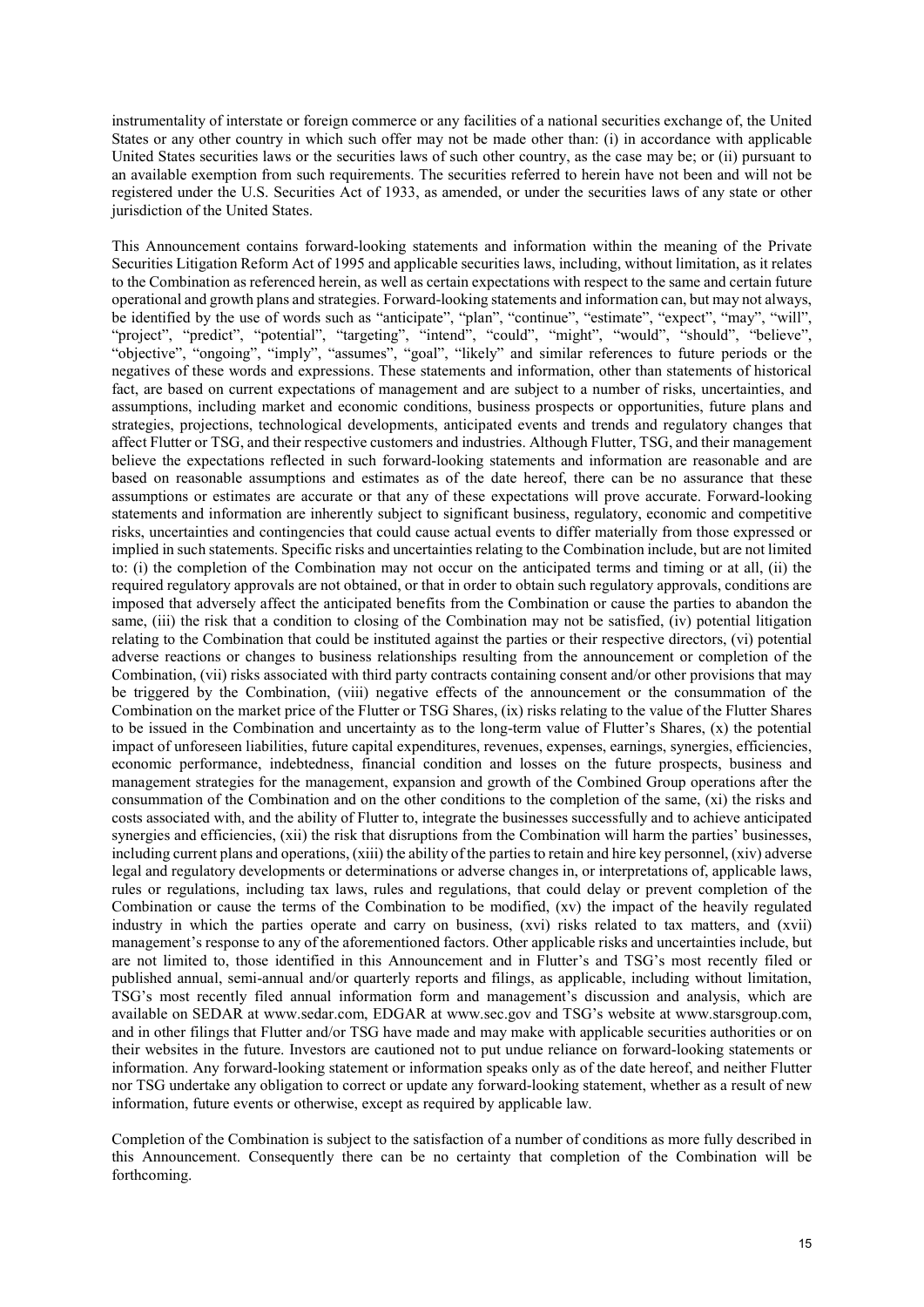instrumentality of interstate or foreign commerce or any facilities of a national securities exchange of, the United States or any other country in which such offer may not be made other than: (i) in accordance with applicable United States securities laws or the securities laws of such other country, as the case may be; or (ii) pursuant to an available exemption from such requirements. The securities referred to herein have not been and will not be registered under the U.S. Securities Act of 1933, as amended, or under the securities laws of any state or other jurisdiction of the United States.

This Announcement contains forward-looking statements and information within the meaning of the Private Securities Litigation Reform Act of 1995 and applicable securities laws, including, without limitation, as it relates to the Combination as referenced herein, as well as certain expectations with respect to the same and certain future operational and growth plans and strategies. Forward-looking statements and information can, but may not always, be identified by the use of words such as "anticipate", "plan", "continue", "estimate", "expect", "may", "will", "project", "predict", "potential", "targeting", "intend", "could", "might", "would", "should", "believe", "objective", "ongoing", "imply", "assumes", "goal", "likely" and similar references to future periods or the negatives of these words and expressions. These statements and information, other than statements of historical fact, are based on current expectations of management and are subject to a number of risks, uncertainties, and assumptions, including market and economic conditions, business prospects or opportunities, future plans and strategies, projections, technological developments, anticipated events and trends and regulatory changes that affect Flutter or TSG, and their respective customers and industries. Although Flutter, TSG, and their management believe the expectations reflected in such forward-looking statements and information are reasonable and are based on reasonable assumptions and estimates as of the date hereof, there can be no assurance that these assumptions or estimates are accurate or that any of these expectations will prove accurate. Forward-looking statements and information are inherently subject to significant business, regulatory, economic and competitive risks, uncertainties and contingencies that could cause actual events to differ materially from those expressed or implied in such statements. Specific risks and uncertainties relating to the Combination include, but are not limited to: (i) the completion of the Combination may not occur on the anticipated terms and timing or at all, (ii) the required regulatory approvals are not obtained, or that in order to obtain such regulatory approvals, conditions are imposed that adversely affect the anticipated benefits from the Combination or cause the parties to abandon the same, (iii) the risk that a condition to closing of the Combination may not be satisfied, (iv) potential litigation relating to the Combination that could be instituted against the parties or their respective directors, (vi) potential adverse reactions or changes to business relationships resulting from the announcement or completion of the Combination, (vii) risks associated with third party contracts containing consent and/or other provisions that may be triggered by the Combination, (viii) negative effects of the announcement or the consummation of the Combination on the market price of the Flutter or TSG Shares, (ix) risks relating to the value of the Flutter Shares to be issued in the Combination and uncertainty as to the long-term value of Flutter's Shares, (x) the potential impact of unforeseen liabilities, future capital expenditures, revenues, expenses, earnings, synergies, efficiencies, economic performance, indebtedness, financial condition and losses on the future prospects, business and management strategies for the management, expansion and growth of the Combined Group operations after the consummation of the Combination and on the other conditions to the completion of the same, (xi) the risks and costs associated with, and the ability of Flutter to, integrate the businesses successfully and to achieve anticipated synergies and efficiencies, (xii) the risk that disruptions from the Combination will harm the parties' businesses, including current plans and operations, (xiii) the ability of the parties to retain and hire key personnel, (xiv) adverse legal and regulatory developments or determinations or adverse changes in, or interpretations of, applicable laws, rules or regulations, including tax laws, rules and regulations, that could delay or prevent completion of the Combination or cause the terms of the Combination to be modified, (xv) the impact of the heavily regulated industry in which the parties operate and carry on business, (xvi) risks related to tax matters, and (xvii) management's response to any of the aforementioned factors. Other applicable risks and uncertainties include, but are not limited to, those identified in this Announcement and in Flutter's and TSG's most recently filed or published annual, semi-annual and/or quarterly reports and filings, as applicable, including without limitation, TSG's most recently filed annual information form and management's discussion and analysis, which are available on SEDAR at www.sedar.com, EDGAR at www.sec.gov and TSG's website at www.starsgroup.com, and in other filings that Flutter and/or TSG have made and may make with applicable securities authorities or on their websites in the future. Investors are cautioned not to put undue reliance on forward-looking statements or information. Any forward-looking statement or information speaks only as of the date hereof, and neither Flutter nor TSG undertake any obligation to correct or update any forward-looking statement, whether as a result of new information, future events or otherwise, except as required by applicable law.

Completion of the Combination is subject to the satisfaction of a number of conditions as more fully described in this Announcement. Consequently there can be no certainty that completion of the Combination will be forthcoming.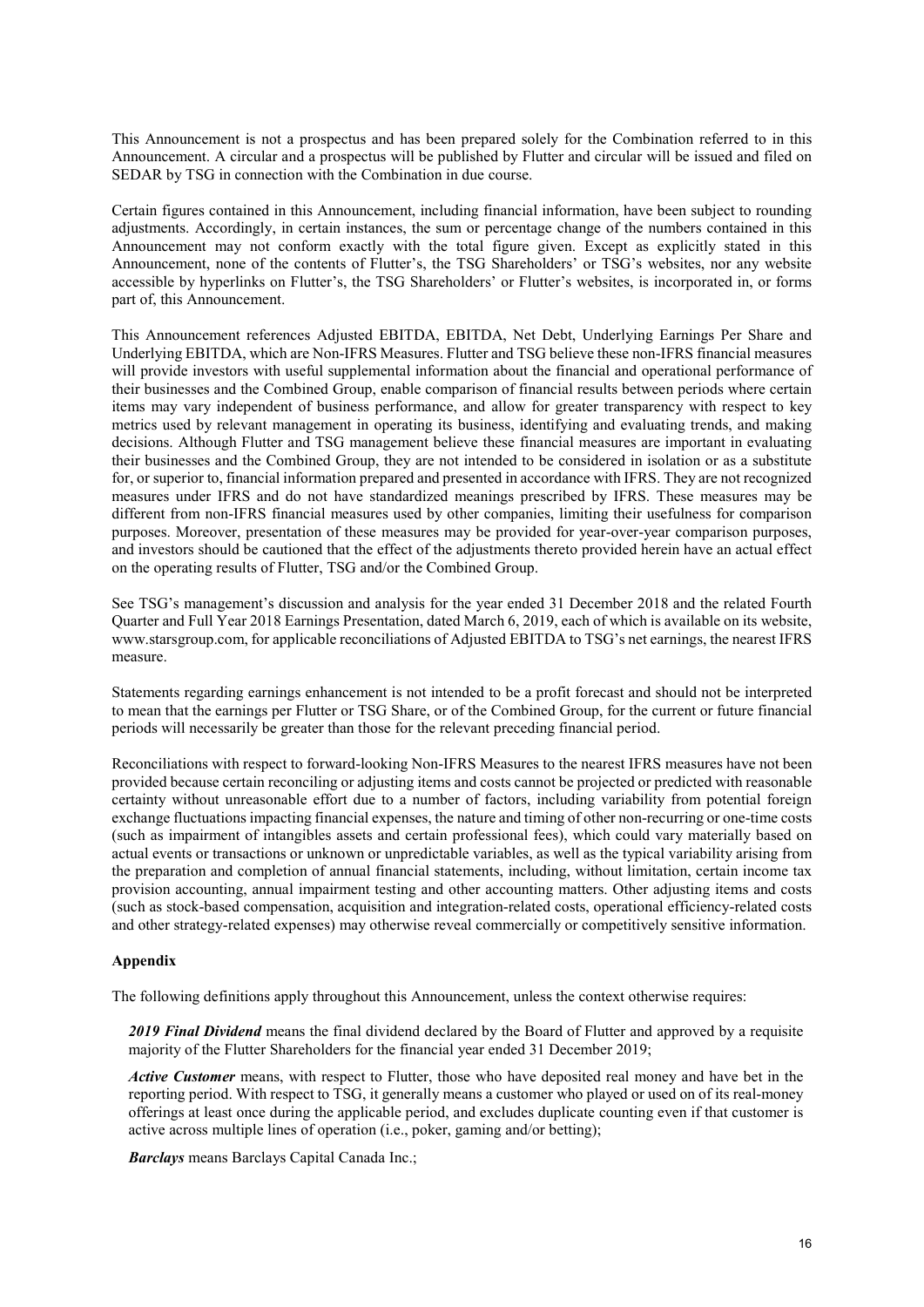This Announcement is not a prospectus and has been prepared solely for the Combination referred to in this Announcement. A circular and a prospectus will be published by Flutter and circular will be issued and filed on SEDAR by TSG in connection with the Combination in due course.

Certain figures contained in this Announcement, including financial information, have been subject to rounding adjustments. Accordingly, in certain instances, the sum or percentage change of the numbers contained in this Announcement may not conform exactly with the total figure given. Except as explicitly stated in this Announcement, none of the contents of Flutter's, the TSG Shareholders' or TSG's websites, nor any website accessible by hyperlinks on Flutter's, the TSG Shareholders' or Flutter's websites, is incorporated in, or forms part of, this Announcement.

This Announcement references Adjusted EBITDA, EBITDA, Net Debt, Underlying Earnings Per Share and Underlying EBITDA, which are Non-IFRS Measures. Flutter and TSG believe these non-IFRS financial measures will provide investors with useful supplemental information about the financial and operational performance of their businesses and the Combined Group, enable comparison of financial results between periods where certain items may vary independent of business performance, and allow for greater transparency with respect to key metrics used by relevant management in operating its business, identifying and evaluating trends, and making decisions. Although Flutter and TSG management believe these financial measures are important in evaluating their businesses and the Combined Group, they are not intended to be considered in isolation or as a substitute for, or superior to, financial information prepared and presented in accordance with IFRS. They are not recognized measures under IFRS and do not have standardized meanings prescribed by IFRS. These measures may be different from non-IFRS financial measures used by other companies, limiting their usefulness for comparison purposes. Moreover, presentation of these measures may be provided for year-over-year comparison purposes, and investors should be cautioned that the effect of the adjustments thereto provided herein have an actual effect on the operating results of Flutter, TSG and/or the Combined Group.

See TSG's management's discussion and analysis for the year ended 31 December 2018 and the related Fourth Quarter and Full Year 2018 Earnings Presentation, dated March 6, 2019, each of which is available on its website, www.starsgroup.com, for applicable reconciliations of Adjusted EBITDA to TSG's net earnings, the nearest IFRS measure.

Statements regarding earnings enhancement is not intended to be a profit forecast and should not be interpreted to mean that the earnings per Flutter or TSG Share, or of the Combined Group, for the current or future financial periods will necessarily be greater than those for the relevant preceding financial period.

Reconciliations with respect to forward-looking Non-IFRS Measures to the nearest IFRS measures have not been provided because certain reconciling or adjusting items and costs cannot be projected or predicted with reasonable certainty without unreasonable effort due to a number of factors, including variability from potential foreign exchange fluctuations impacting financial expenses, the nature and timing of other non-recurring or one-time costs (such as impairment of intangibles assets and certain professional fees), which could vary materially based on actual events or transactions or unknown or unpredictable variables, as well as the typical variability arising from the preparation and completion of annual financial statements, including, without limitation, certain income tax provision accounting, annual impairment testing and other accounting matters. Other adjusting items and costs (such as stock-based compensation, acquisition and integration-related costs, operational efficiency-related costs and other strategy-related expenses) may otherwise reveal commercially or competitively sensitive information.

### **Appendix**

The following definitions apply throughout this Announcement, unless the context otherwise requires:

*2019 Final Dividend* means the final dividend declared by the Board of Flutter and approved by a requisite majority of the Flutter Shareholders for the financial year ended 31 December 2019;

*Active Customer* means, with respect to Flutter, those who have deposited real money and have bet in the reporting period. With respect to TSG, it generally means a customer who played or used on of its real-money offerings at least once during the applicable period, and excludes duplicate counting even if that customer is active across multiple lines of operation (i.e., poker, gaming and/or betting);

*Barclays* means Barclays Capital Canada Inc.;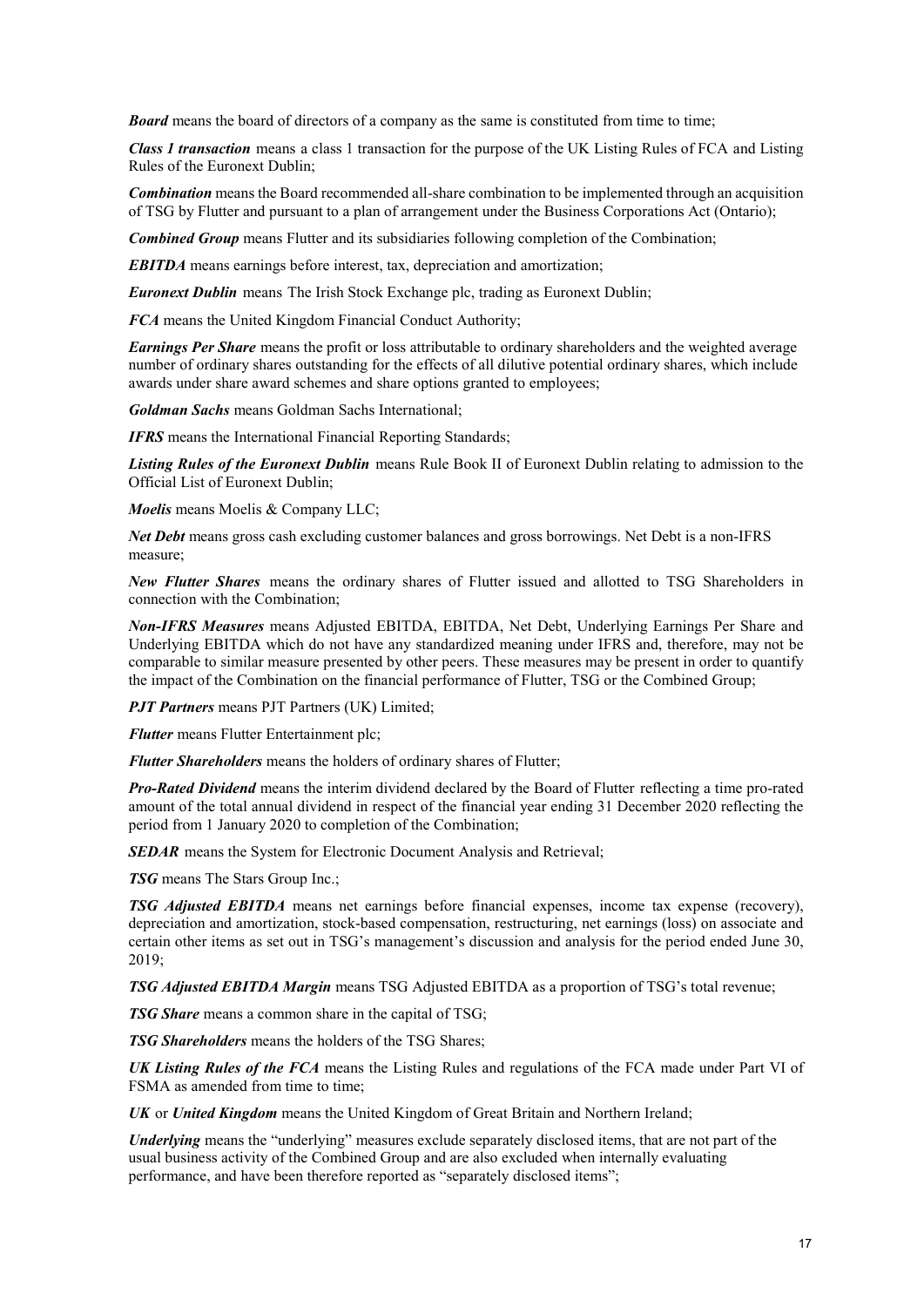**Board** means the board of directors of a company as the same is constituted from time to time;

*Class 1 transaction* means a class 1 transaction for the purpose of the UK Listing Rules of FCA and Listing Rules of the Euronext Dublin;

*Combination* means the Board recommended all-share combination to be implemented through an acquisition of TSG by Flutter and pursuant to a plan of arrangement under the Business Corporations Act (Ontario);

*Combined Group* means Flutter and its subsidiaries following completion of the Combination;

*EBITDA* means earnings before interest, tax, depreciation and amortization;

*Euronext Dublin* means The Irish Stock Exchange plc, trading as Euronext Dublin;

*FCA* means the United Kingdom Financial Conduct Authority;

*Earnings Per Share* means the profit or loss attributable to ordinary shareholders and the weighted average number of ordinary shares outstanding for the effects of all dilutive potential ordinary shares, which include awards under share award schemes and share options granted to employees;

*Goldman Sachs* means Goldman Sachs International;

*IFRS* means the International Financial Reporting Standards;

*Listing Rules of the Euronext Dublin* means Rule Book II of Euronext Dublin relating to admission to the Official List of Euronext Dublin;

*Moelis* means Moelis & Company LLC;

*Net Debt* means gross cash excluding customer balances and gross borrowings. Net Debt is a non-IFRS measure;

*New Flutter Shares* means the ordinary shares of Flutter issued and allotted to TSG Shareholders in connection with the Combination;

*Non-IFRS Measures* means Adjusted EBITDA, EBITDA, Net Debt, Underlying Earnings Per Share and Underlying EBITDA which do not have any standardized meaning under IFRS and, therefore, may not be comparable to similar measure presented by other peers. These measures may be present in order to quantify the impact of the Combination on the financial performance of Flutter, TSG or the Combined Group;

*PJT Partners* means PJT Partners (UK) Limited;

*Flutter* means Flutter Entertainment plc;

*Flutter Shareholders* means the holders of ordinary shares of Flutter;

*Pro-Rated Dividend* means the interim dividend declared by the Board of Flutter reflecting a time pro-rated amount of the total annual dividend in respect of the financial year ending 31 December 2020 reflecting the period from 1 January 2020 to completion of the Combination;

**SEDAR** means the System for Electronic Document Analysis and Retrieval;

*TSG* means The Stars Group Inc.;

*TSG Adjusted EBITDA* means net earnings before financial expenses, income tax expense (recovery), depreciation and amortization, stock-based compensation, restructuring, net earnings (loss) on associate and certain other items as set out in TSG's management's discussion and analysis for the period ended June 30, 2019;

*TSG Adjusted EBITDA Margin* means TSG Adjusted EBITDA as a proportion of TSG's total revenue;

*TSG Share* means a common share in the capital of TSG;

*TSG Shareholders* means the holders of the TSG Shares;

*UK Listing Rules of the FCA* means the Listing Rules and regulations of the FCA made under Part VI of FSMA as amended from time to time;

*UK* or *United Kingdom* means the United Kingdom of Great Britain and Northern Ireland;

*Underlying* means the "underlying" measures exclude separately disclosed items, that are not part of the usual business activity of the Combined Group and are also excluded when internally evaluating performance, and have been therefore reported as "separately disclosed items";